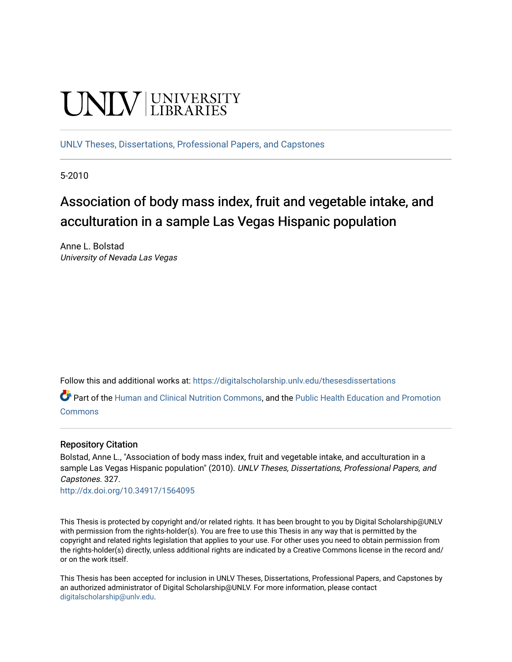# **CINITY** UNIVERSITY

[UNLV Theses, Dissertations, Professional Papers, and Capstones](https://digitalscholarship.unlv.edu/thesesdissertations)

5-2010

# Association of body mass index, fruit and vegetable intake, and acculturation in a sample Las Vegas Hispanic population

Anne L. Bolstad University of Nevada Las Vegas

Follow this and additional works at: [https://digitalscholarship.unlv.edu/thesesdissertations](https://digitalscholarship.unlv.edu/thesesdissertations?utm_source=digitalscholarship.unlv.edu%2Fthesesdissertations%2F327&utm_medium=PDF&utm_campaign=PDFCoverPages)

Part of the [Human and Clinical Nutrition Commons](http://network.bepress.com/hgg/discipline/97?utm_source=digitalscholarship.unlv.edu%2Fthesesdissertations%2F327&utm_medium=PDF&utm_campaign=PDFCoverPages), and the [Public Health Education and Promotion](http://network.bepress.com/hgg/discipline/743?utm_source=digitalscholarship.unlv.edu%2Fthesesdissertations%2F327&utm_medium=PDF&utm_campaign=PDFCoverPages) [Commons](http://network.bepress.com/hgg/discipline/743?utm_source=digitalscholarship.unlv.edu%2Fthesesdissertations%2F327&utm_medium=PDF&utm_campaign=PDFCoverPages)

## Repository Citation

Bolstad, Anne L., "Association of body mass index, fruit and vegetable intake, and acculturation in a sample Las Vegas Hispanic population" (2010). UNLV Theses, Dissertations, Professional Papers, and Capstones. 327.

<http://dx.doi.org/10.34917/1564095>

This Thesis is protected by copyright and/or related rights. It has been brought to you by Digital Scholarship@UNLV with permission from the rights-holder(s). You are free to use this Thesis in any way that is permitted by the copyright and related rights legislation that applies to your use. For other uses you need to obtain permission from the rights-holder(s) directly, unless additional rights are indicated by a Creative Commons license in the record and/ or on the work itself.

This Thesis has been accepted for inclusion in UNLV Theses, Dissertations, Professional Papers, and Capstones by an authorized administrator of Digital Scholarship@UNLV. For more information, please contact [digitalscholarship@unlv.edu](mailto:digitalscholarship@unlv.edu).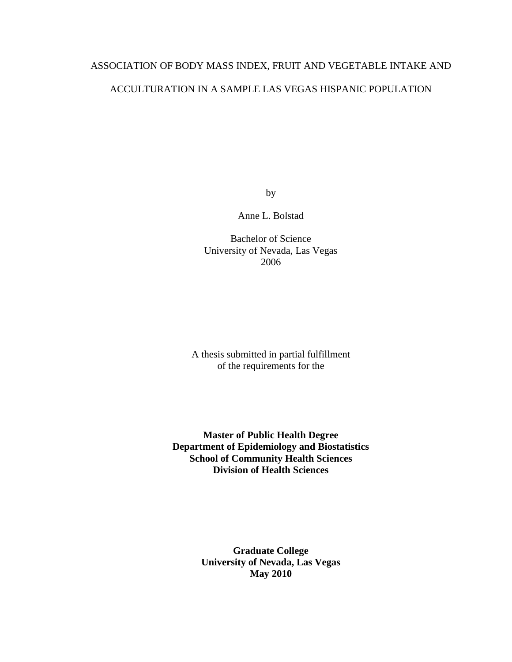# ASSOCIATION OF BODY MASS INDEX, FRUIT AND VEGETABLE INTAKE AND

# ACCULTURATION IN A SAMPLE LAS VEGAS HISPANIC POPULATION

by

Anne L. Bolstad

Bachelor of Science University of Nevada, Las Vegas 2006

A thesis submitted in partial fulfillment of the requirements for the

**Master of Public Health Degree Department of Epidemiology and Biostatistics School of Community Health Sciences Division of Health Sciences**

> **Graduate College University of Nevada, Las Vegas May 2010**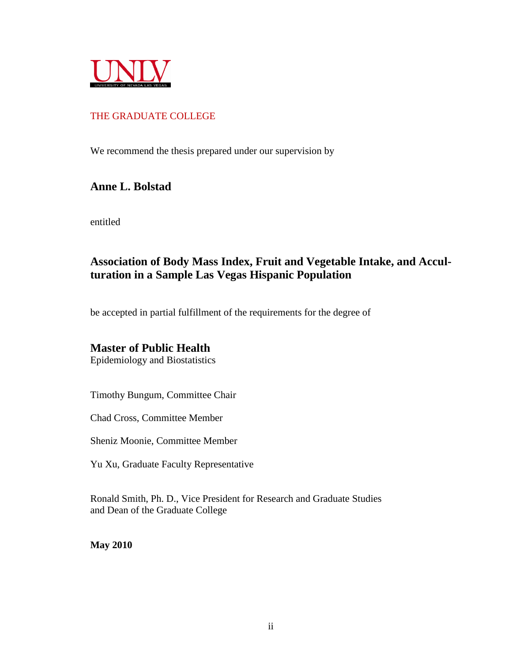

# THE GRADUATE COLLEGE

We recommend the thesis prepared under our supervision by

# **Anne L. Bolstad**

entitled

# **Association of Body Mass Index, Fruit and Vegetable Intake, and Acculturation in a Sample Las Vegas Hispanic Population**

be accepted in partial fulfillment of the requirements for the degree of

# **Master of Public Health**

Epidemiology and Biostatistics

Timothy Bungum, Committee Chair

Chad Cross, Committee Member

Sheniz Moonie, Committee Member

Yu Xu, Graduate Faculty Representative

Ronald Smith, Ph. D., Vice President for Research and Graduate Studies and Dean of the Graduate College

**May 2010**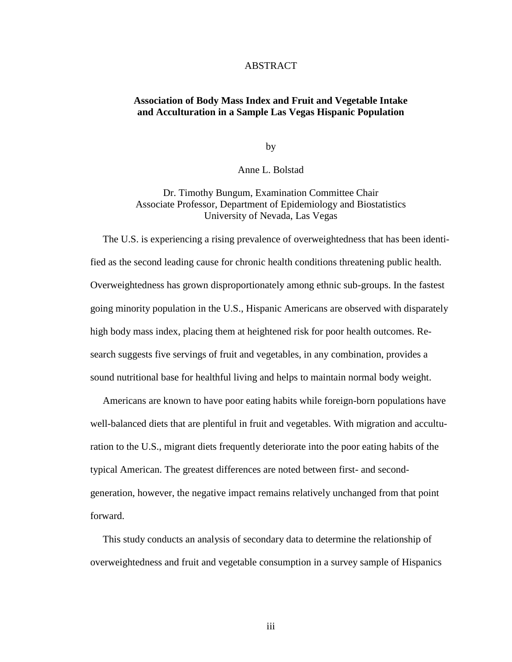#### ABSTRACT

## **Association of Body Mass Index and Fruit and Vegetable Intake and Acculturation in a Sample Las Vegas Hispanic Population**

by

Anne L. Bolstad

Dr. Timothy Bungum, Examination Committee Chair Associate Professor, Department of Epidemiology and Biostatistics University of Nevada, Las Vegas

 The U.S. is experiencing a rising prevalence of overweightedness that has been identified as the second leading cause for chronic health conditions threatening public health. Overweightedness has grown disproportionately among ethnic sub-groups. In the fastest going minority population in the U.S., Hispanic Americans are observed with disparately high body mass index, placing them at heightened risk for poor health outcomes. Research suggests five servings of fruit and vegetables, in any combination, provides a sound nutritional base for healthful living and helps to maintain normal body weight.

 Americans are known to have poor eating habits while foreign-born populations have well-balanced diets that are plentiful in fruit and vegetables. With migration and acculturation to the U.S., migrant diets frequently deteriorate into the poor eating habits of the typical American. The greatest differences are noted between first- and secondgeneration, however, the negative impact remains relatively unchanged from that point forward.

 This study conducts an analysis of secondary data to determine the relationship of overweightedness and fruit and vegetable consumption in a survey sample of Hispanics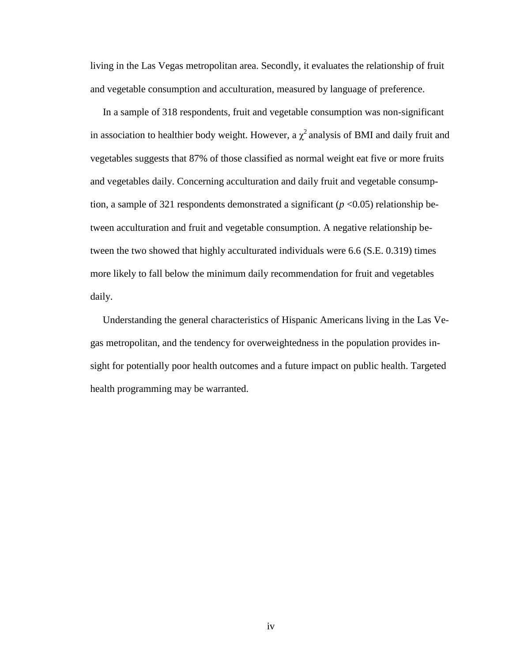living in the Las Vegas metropolitan area. Secondly, it evaluates the relationship of fruit and vegetable consumption and acculturation, measured by language of preference.

 In a sample of 318 respondents, fruit and vegetable consumption was non-significant in association to healthier body weight. However, a  $\chi^2$  analysis of BMI and daily fruit and vegetables suggests that 87% of those classified as normal weight eat five or more fruits and vegetables daily. Concerning acculturation and daily fruit and vegetable consumption, a sample of 321 respondents demonstrated a significant  $(p \le 0.05)$  relationship between acculturation and fruit and vegetable consumption. A negative relationship between the two showed that highly acculturated individuals were 6.6 (S.E. 0.319) times more likely to fall below the minimum daily recommendation for fruit and vegetables daily.

 Understanding the general characteristics of Hispanic Americans living in the Las Vegas metropolitan, and the tendency for overweightedness in the population provides insight for potentially poor health outcomes and a future impact on public health. Targeted health programming may be warranted.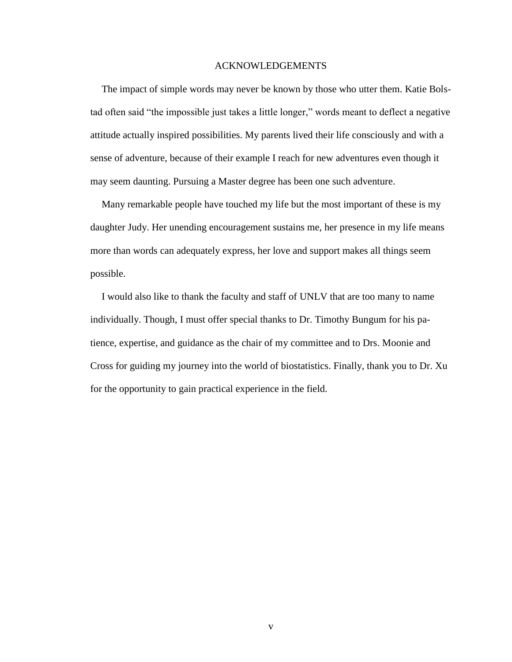#### ACKNOWLEDGEMENTS

The impact of simple words may never be known by those who utter them. Katie Bolstad often said "the impossible just takes a little longer," words meant to deflect a negative attitude actually inspired possibilities. My parents lived their life consciously and with a sense of adventure, because of their example I reach for new adventures even though it may seem daunting. Pursuing a Master degree has been one such adventure.

Many remarkable people have touched my life but the most important of these is my daughter Judy. Her unending encouragement sustains me, her presence in my life means more than words can adequately express, her love and support makes all things seem possible.

I would also like to thank the faculty and staff of UNLV that are too many to name individually. Though, I must offer special thanks to Dr. Timothy Bungum for his patience, expertise, and guidance as the chair of my committee and to Drs. Moonie and Cross for guiding my journey into the world of biostatistics. Finally, thank you to Dr. Xu for the opportunity to gain practical experience in the field.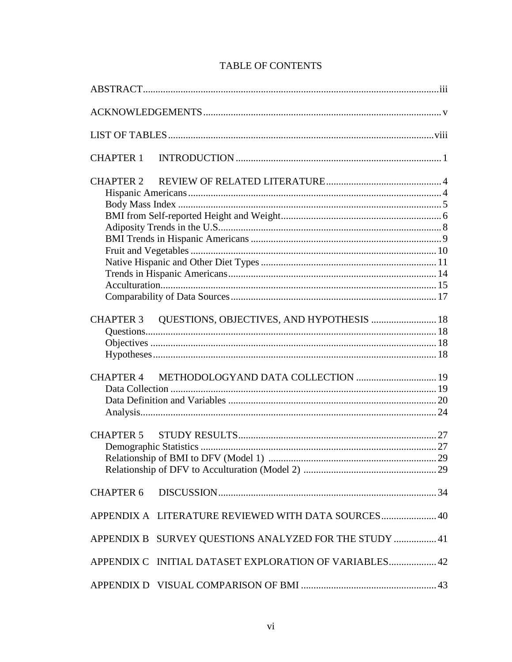| <b>CHAPTER 1</b>                                       |  |
|--------------------------------------------------------|--|
|                                                        |  |
| CHAPTER 3 QUESTIONS, OBJECTIVES, AND HYPOTHESIS  18    |  |
|                                                        |  |
|                                                        |  |
|                                                        |  |
| APPENDIX A LITERATURE REVIEWED WITH DATA SOURCES 40    |  |
| APPENDIX B SURVEY QUESTIONS ANALYZED FOR THE STUDY  41 |  |
| APPENDIX C INITIAL DATASET EXPLORATION OF VARIABLES 42 |  |
|                                                        |  |

# **TABLE OF CONTENTS**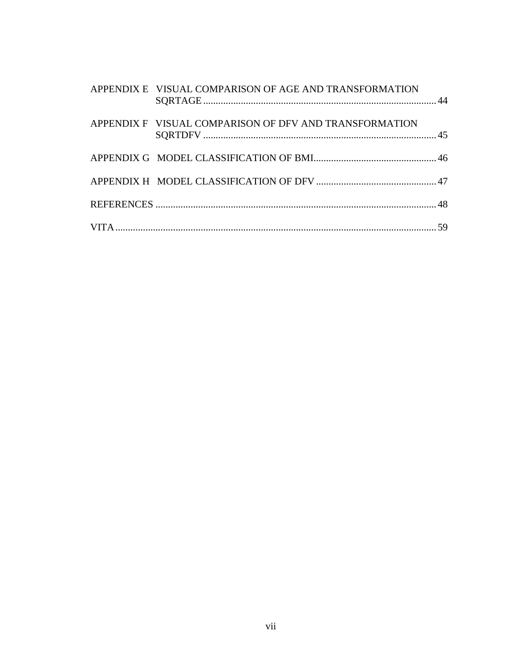| APPENDIX E VISUAL COMPARISON OF AGE AND TRANSFORMATION |  |
|--------------------------------------------------------|--|
| APPENDIX F VISUAL COMPARISON OF DFV AND TRANSFORMATION |  |
|                                                        |  |
|                                                        |  |
|                                                        |  |
|                                                        |  |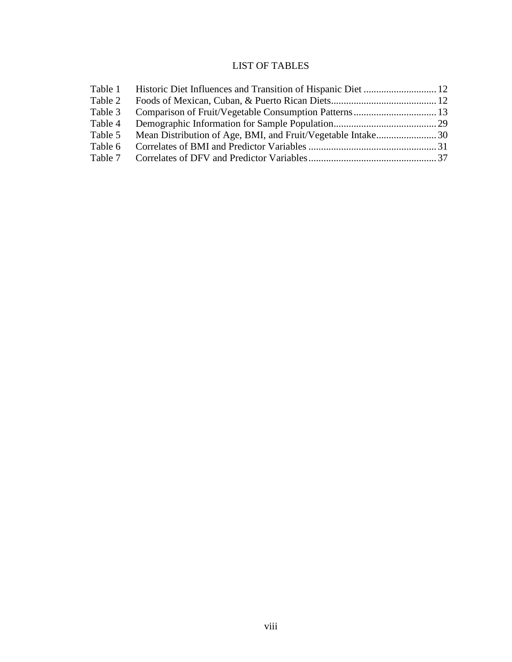# LIST OF TABLES

| Table 1 |  |
|---------|--|
| Table 2 |  |
| Table 3 |  |
| Table 4 |  |
| Table 5 |  |
| Table 6 |  |
|         |  |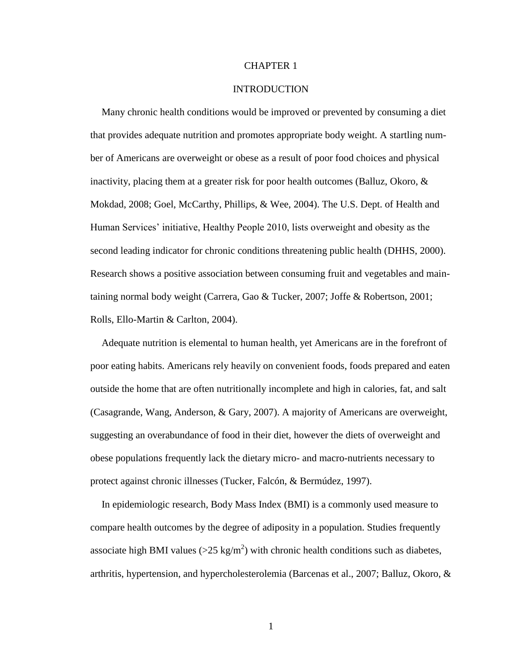#### CHAPTER 1

#### INTRODUCTION

Many chronic health conditions would be improved or prevented by consuming a diet that provides adequate nutrition and promotes appropriate body weight. A startling number of Americans are overweight or obese as a result of poor food choices and physical inactivity, placing them at a greater risk for poor health outcomes (Balluz, Okoro,  $\&$ Mokdad, 2008; Goel, McCarthy, Phillips, & Wee, 2004). The U.S. Dept. of Health and Human Services" initiative, Healthy People 2010, lists overweight and obesity as the second leading indicator for chronic conditions threatening public health (DHHS, 2000). Research shows a positive association between consuming fruit and vegetables and maintaining normal body weight (Carrera, Gao & Tucker, 2007; Joffe & Robertson, 2001; Rolls, Ello-Martin & Carlton, 2004).

Adequate nutrition is elemental to human health, yet Americans are in the forefront of poor eating habits. Americans rely heavily on convenient foods, foods prepared and eaten outside the home that are often nutritionally incomplete and high in calories, fat, and salt (Casagrande, Wang, Anderson, & Gary, 2007). A majority of Americans are overweight, suggesting an overabundance of food in their diet, however the diets of overweight and obese populations frequently lack the dietary micro- and macro-nutrients necessary to protect against chronic illnesses (Tucker, Falcón, & Bermúdez, 1997).

In epidemiologic research, Body Mass Index (BMI) is a commonly used measure to compare health outcomes by the degree of adiposity in a population. Studies frequently associate high BMI values ( $>$ 25 kg/m<sup>2</sup>) with chronic health conditions such as diabetes, arthritis, hypertension, and hypercholesterolemia (Barcenas et al., 2007; Balluz, Okoro, &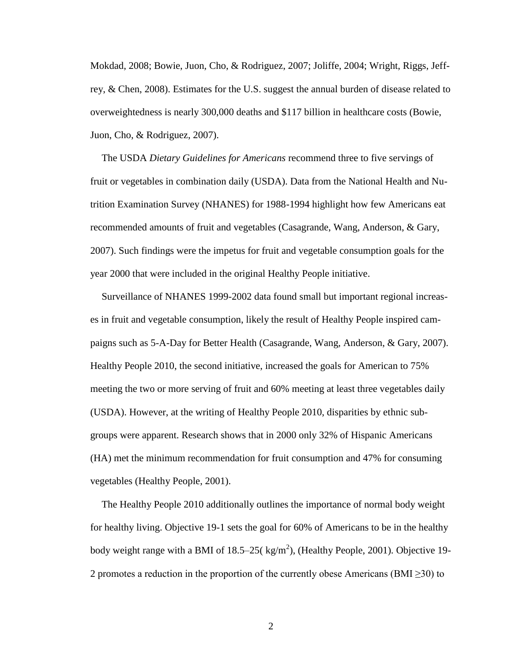Mokdad, 2008; Bowie, Juon, Cho, & Rodriguez, 2007; Joliffe, 2004; Wright, Riggs, Jeffrey, & Chen, 2008). Estimates for the U.S. suggest the annual burden of disease related to overweightedness is nearly 300,000 deaths and \$117 billion in healthcare costs (Bowie, Juon, Cho, & Rodriguez, 2007).

The USDA *Dietary Guidelines for Americans* recommend three to five servings of fruit or vegetables in combination daily (USDA). Data from the National Health and Nutrition Examination Survey (NHANES) for 1988-1994 highlight how few Americans eat recommended amounts of fruit and vegetables (Casagrande, Wang, Anderson, & Gary, 2007). Such findings were the impetus for fruit and vegetable consumption goals for the year 2000 that were included in the original Healthy People initiative.

Surveillance of NHANES 1999-2002 data found small but important regional increases in fruit and vegetable consumption, likely the result of Healthy People inspired campaigns such as 5-A-Day for Better Health (Casagrande, Wang, Anderson, & Gary, 2007). Healthy People 2010, the second initiative, increased the goals for American to 75% meeting the two or more serving of fruit and 60% meeting at least three vegetables daily (USDA). However, at the writing of Healthy People 2010, disparities by ethnic subgroups were apparent. Research shows that in 2000 only 32% of Hispanic Americans (HA) met the minimum recommendation for fruit consumption and 47% for consuming vegetables (Healthy People, 2001).

The Healthy People 2010 additionally outlines the importance of normal body weight for healthy living. Objective 19-1 sets the goal for 60% of Americans to be in the healthy body weight range with a BMI of  $18.5-25$  ( $\text{kg/m}^2$ ), (Healthy People, 2001). Objective 19-2 promotes a reduction in the proportion of the currently obese Americans (BMI  $\geq$ 30) to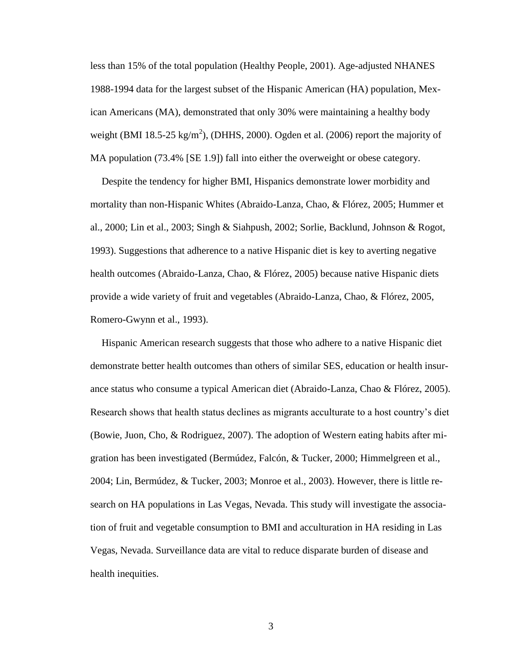less than 15% of the total population (Healthy People, 2001). Age-adjusted NHANES 1988-1994 data for the largest subset of the Hispanic American (HA) population, Mexican Americans (MA), demonstrated that only 30% were maintaining a healthy body weight (BMI 18.5-25 kg/m<sup>2</sup>), (DHHS, 2000). Ogden et al. (2006) report the majority of MA population (73.4% [SE 1.9]) fall into either the overweight or obese category.

Despite the tendency for higher BMI, Hispanics demonstrate lower morbidity and mortality than non-Hispanic Whites (Abraido-Lanza, Chao, & Flórez, 2005; Hummer et al., 2000; Lin et al., 2003; Singh & Siahpush, 2002; Sorlie, Backlund, Johnson & Rogot, 1993). Suggestions that adherence to a native Hispanic diet is key to averting negative health outcomes (Abraido-Lanza, Chao, & Flórez, 2005) because native Hispanic diets provide a wide variety of fruit and vegetables (Abraido-Lanza, Chao, & Flórez, 2005, Romero-Gwynn et al., 1993).

Hispanic American research suggests that those who adhere to a native Hispanic diet demonstrate better health outcomes than others of similar SES, education or health insurance status who consume a typical American diet (Abraido-Lanza, Chao & Flórez, 2005). Research shows that health status declines as migrants acculturate to a host country"s diet (Bowie, Juon, Cho, & Rodriguez, 2007). The adoption of Western eating habits after migration has been investigated (Bermúdez, Falcón, & Tucker, 2000; Himmelgreen et al., 2004; Lin, Bermúdez, & Tucker, 2003; Monroe et al., 2003). However, there is little research on HA populations in Las Vegas, Nevada. This study will investigate the association of fruit and vegetable consumption to BMI and acculturation in HA residing in Las Vegas, Nevada. Surveillance data are vital to reduce disparate burden of disease and health inequities.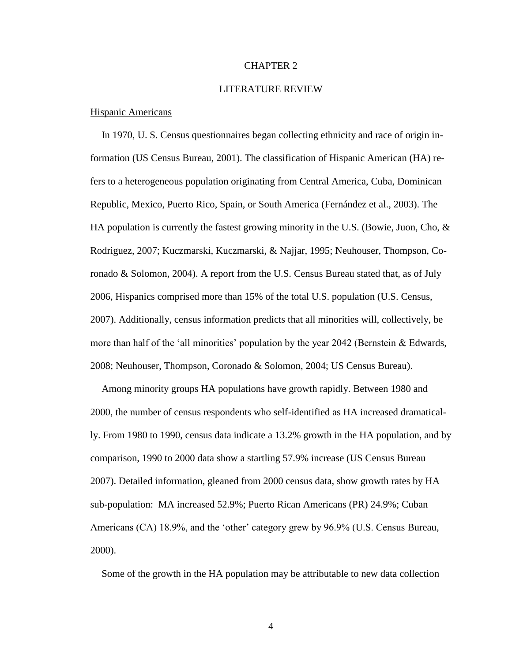#### CHAPTER 2

#### LITERATURE REVIEW

#### Hispanic Americans

In 1970, U. S. Census questionnaires began collecting ethnicity and race of origin information (US Census Bureau, 2001). The classification of Hispanic American (HA) refers to a heterogeneous population originating from Central America, Cuba, Dominican Republic, Mexico, Puerto Rico, Spain, or South America (Fernández et al., 2003). The HA population is currently the fastest growing minority in the U.S. (Bowie, Juon, Cho,  $\&$ Rodriguez, 2007; Kuczmarski, Kuczmarski, & Najjar, 1995; Neuhouser, Thompson, Coronado & Solomon, 2004). A report from the U.S. Census Bureau stated that, as of July 2006, Hispanics comprised more than 15% of the total U.S. population (U.S. Census, 2007). Additionally, census information predicts that all minorities will, collectively, be more than half of the 'all minorities' population by the year 2042 (Bernstein & Edwards, 2008; Neuhouser, Thompson, Coronado & Solomon, 2004; US Census Bureau).

Among minority groups HA populations have growth rapidly. Between 1980 and 2000, the number of census respondents who self-identified as HA increased dramatically. From 1980 to 1990, census data indicate a 13.2% growth in the HA population, and by comparison, 1990 to 2000 data show a startling 57.9% increase (US Census Bureau 2007). Detailed information, gleaned from 2000 census data, show growth rates by HA sub-population: MA increased 52.9%; Puerto Rican Americans (PR) 24.9%; Cuban Americans (CA) 18.9%, and the 'other' category grew by 96.9% (U.S. Census Bureau, 2000).

Some of the growth in the HA population may be attributable to new data collection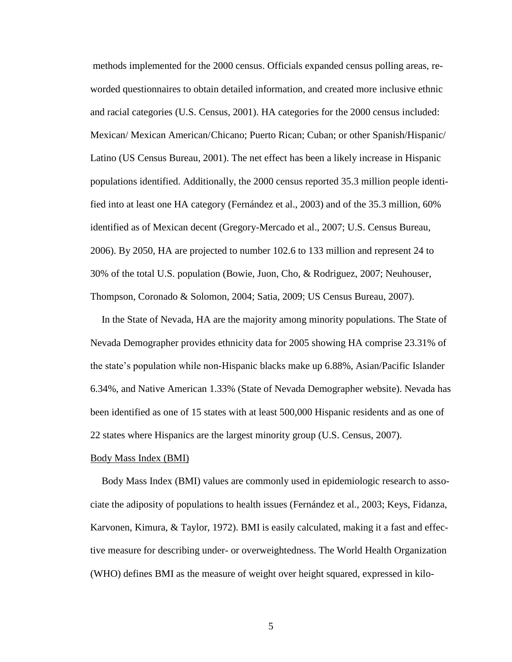methods implemented for the 2000 census. Officials expanded census polling areas, reworded questionnaires to obtain detailed information, and created more inclusive ethnic and racial categories (U.S. Census, 2001). HA categories for the 2000 census included: Mexican/ Mexican American/Chicano; Puerto Rican; Cuban; or other Spanish/Hispanic/ Latino (US Census Bureau, 2001). The net effect has been a likely increase in Hispanic populations identified. Additionally, the 2000 census reported 35.3 million people identified into at least one HA category (Fernández et al., 2003) and of the 35.3 million, 60% identified as of Mexican decent (Gregory-Mercado et al., 2007; U.S. Census Bureau, 2006). By 2050, HA are projected to number 102.6 to 133 million and represent 24 to 30% of the total U.S. population (Bowie, Juon, Cho, & Rodriguez, 2007; Neuhouser, Thompson, Coronado & Solomon, 2004; Satia, 2009; US Census Bureau, 2007).

In the State of Nevada, HA are the majority among minority populations. The State of Nevada Demographer provides ethnicity data for 2005 showing HA comprise 23.31% of the state"s population while non-Hispanic blacks make up 6.88%, Asian/Pacific Islander 6.34%, and Native American 1.33% (State of Nevada Demographer website). Nevada has been identified as one of 15 states with at least 500,000 Hispanic residents and as one of 22 states where Hispanics are the largest minority group (U.S. Census, 2007).

#### Body Mass Index (BMI)

Body Mass Index (BMI) values are commonly used in epidemiologic research to associate the adiposity of populations to health issues (Fernández et al., 2003; Keys, Fidanza, Karvonen, Kimura, & Taylor, 1972). BMI is easily calculated, making it a fast and effective measure for describing under- or overweightedness. The World Health Organization (WHO) defines BMI as the measure of weight over height squared, expressed in kilo-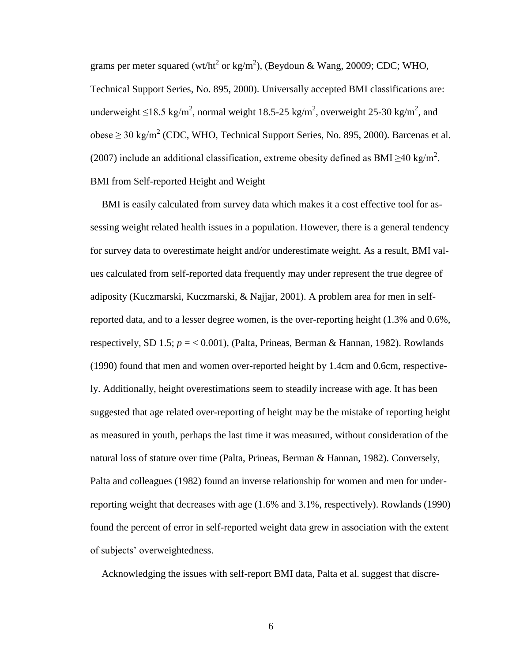grams per meter squared (wt/ht<sup>2</sup> or kg/m<sup>2</sup>), (Beydoun & Wang, 20009; CDC; WHO, Technical Support Series, No. 895, 2000). Universally accepted BMI classifications are: underweight  $\leq$ 18.5 kg/m<sup>2</sup>, normal weight 18.5-25 kg/m<sup>2</sup>, overweight 25-30 kg/m<sup>2</sup>, and obese  $\geq$  30 kg/m<sup>2</sup> (CDC, WHO, Technical Support Series, No. 895, 2000). Barcenas et al. (2007) include an additional classification, extreme obesity defined as BMI  $\geq$ 40 kg/m<sup>2</sup>. BMI from Self-reported Height and Weight

BMI is easily calculated from survey data which makes it a cost effective tool for assessing weight related health issues in a population. However, there is a general tendency for survey data to overestimate height and/or underestimate weight. As a result, BMI values calculated from self-reported data frequently may under represent the true degree of adiposity (Kuczmarski, Kuczmarski, & Najjar, 2001). A problem area for men in selfreported data, and to a lesser degree women, is the over-reporting height (1.3% and 0.6%, respectively, SD 1.5;  $p = 0.001$ ), (Palta, Prineas, Berman & Hannan, 1982). Rowlands (1990) found that men and women over-reported height by 1.4cm and 0.6cm, respectively. Additionally, height overestimations seem to steadily increase with age. It has been suggested that age related over-reporting of height may be the mistake of reporting height as measured in youth, perhaps the last time it was measured, without consideration of the natural loss of stature over time (Palta, Prineas, Berman & Hannan, 1982). Conversely, Palta and colleagues (1982) found an inverse relationship for women and men for underreporting weight that decreases with age (1.6% and 3.1%, respectively). Rowlands (1990) found the percent of error in self-reported weight data grew in association with the extent of subjects" overweightedness.

Acknowledging the issues with self-report BMI data, Palta et al. suggest that discre-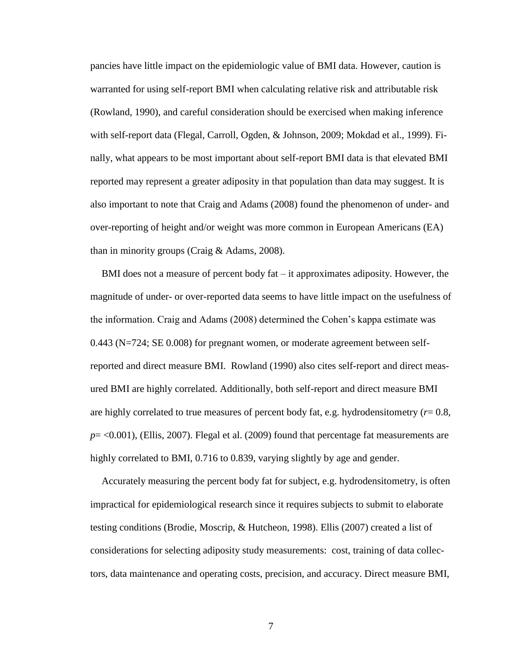pancies have little impact on the epidemiologic value of BMI data. However, caution is warranted for using self-report BMI when calculating relative risk and attributable risk (Rowland, 1990), and careful consideration should be exercised when making inference with self-report data (Flegal, Carroll, Ogden, & Johnson, 2009; Mokdad et al., 1999). Finally, what appears to be most important about self-report BMI data is that elevated BMI reported may represent a greater adiposity in that population than data may suggest. It is also important to note that Craig and Adams (2008) found the phenomenon of under- and over-reporting of height and/or weight was more common in European Americans (EA) than in minority groups (Craig & Adams, 2008).

BMI does not a measure of percent body fat – it approximates adiposity. However, the magnitude of under- or over-reported data seems to have little impact on the usefulness of the information. Craig and Adams (2008) determined the Cohen"s kappa estimate was 0.443 (N=724; SE 0.008) for pregnant women, or moderate agreement between selfreported and direct measure BMI. Rowland (1990) also cites self-report and direct measured BMI are highly correlated. Additionally, both self-report and direct measure BMI are highly correlated to true measures of percent body fat, e.g. hydrodensitometry (*r*= 0.8, *p*= <0.001), (Ellis, 2007). Flegal et al. (2009) found that percentage fat measurements are highly correlated to BMI, 0.716 to 0.839, varying slightly by age and gender.

Accurately measuring the percent body fat for subject, e.g. hydrodensitometry, is often impractical for epidemiological research since it requires subjects to submit to elaborate testing conditions (Brodie, Moscrip, & Hutcheon, 1998). Ellis (2007) created a list of considerations for selecting adiposity study measurements: cost, training of data collectors, data maintenance and operating costs, precision, and accuracy. Direct measure BMI,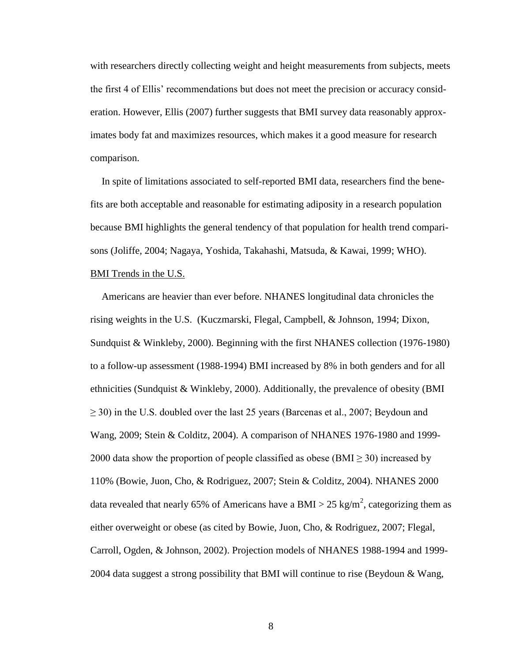with researchers directly collecting weight and height measurements from subjects, meets the first 4 of Ellis" recommendations but does not meet the precision or accuracy consideration. However, Ellis (2007) further suggests that BMI survey data reasonably approximates body fat and maximizes resources, which makes it a good measure for research comparison.

In spite of limitations associated to self-reported BMI data, researchers find the benefits are both acceptable and reasonable for estimating adiposity in a research population because BMI highlights the general tendency of that population for health trend comparisons (Joliffe, 2004; Nagaya, Yoshida, Takahashi, Matsuda, & Kawai, 1999; WHO). BMI Trends in the U.S.

Americans are heavier than ever before. NHANES longitudinal data chronicles the rising weights in the U.S. (Kuczmarski, Flegal, Campbell, & Johnson, 1994; Dixon, Sundquist & Winkleby, 2000). Beginning with the first NHANES collection (1976-1980) to a follow-up assessment (1988-1994) BMI increased by 8% in both genders and for all ethnicities (Sundquist & Winkleby, 2000). Additionally, the prevalence of obesity (BMI  $\geq$  30) in the U.S. doubled over the last 25 years (Barcenas et al., 2007; Beydoun and Wang, 2009; Stein & Colditz, 2004). A comparison of NHANES 1976-1980 and 1999- 2000 data show the proportion of people classified as obese (BMI  $\geq$  30) increased by 110% (Bowie, Juon, Cho, & Rodriguez, 2007; Stein & Colditz, 2004). NHANES 2000 data revealed that nearly 65% of Americans have a BMI > 25 kg/m<sup>2</sup>, categorizing them as either overweight or obese (as cited by Bowie, Juon, Cho, & Rodriguez, 2007; Flegal, Carroll, Ogden, & Johnson, 2002). Projection models of NHANES 1988-1994 and 1999- 2004 data suggest a strong possibility that BMI will continue to rise (Beydoun & Wang,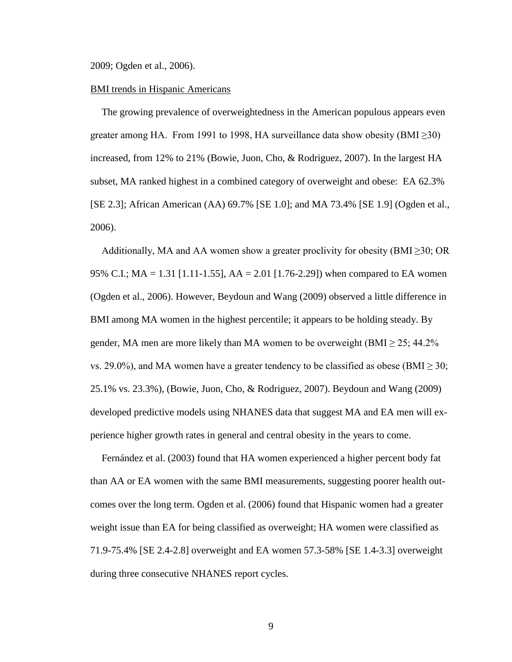2009; Ogden et al., 2006).

#### BMI trends in Hispanic Americans

The growing prevalence of overweightedness in the American populous appears even greater among HA. From 1991 to 1998, HA surveillance data show obesity (BMI $\geq$ 30) increased, from 12% to 21% (Bowie, Juon, Cho, & Rodriguez, 2007). In the largest HA subset, MA ranked highest in a combined category of overweight and obese: EA 62.3% [SE 2.3]; African American (AA) 69.7% [SE 1.0]; and MA 73.4% [SE 1.9] (Ogden et al., 2006).

Additionally, MA and AA women show a greater proclivity for obesity (BMI $\geq$ 30; OR 95% C.I.;  $MA = 1.31$  [1.11-1.55],  $AA = 2.01$  [1.76-2.29]) when compared to EA women (Ogden et al., 2006). However, Beydoun and Wang (2009) observed a little difference in BMI among MA women in the highest percentile; it appears to be holding steady. By gender, MA men are more likely than MA women to be overweight (BMI  $\geq$  25; 44.2% vs. 29.0%), and MA women have a greater tendency to be classified as obese (BMI  $\geq$  30; 25.1% vs. 23.3%), (Bowie, Juon, Cho, & Rodriguez, 2007). Beydoun and Wang (2009) developed predictive models using NHANES data that suggest MA and EA men will experience higher growth rates in general and central obesity in the years to come.

Fernández et al. (2003) found that HA women experienced a higher percent body fat than AA or EA women with the same BMI measurements, suggesting poorer health outcomes over the long term. Ogden et al. (2006) found that Hispanic women had a greater weight issue than EA for being classified as overweight; HA women were classified as 71.9-75.4% [SE 2.4-2.8] overweight and EA women 57.3-58% [SE 1.4-3.3] overweight during three consecutive NHANES report cycles.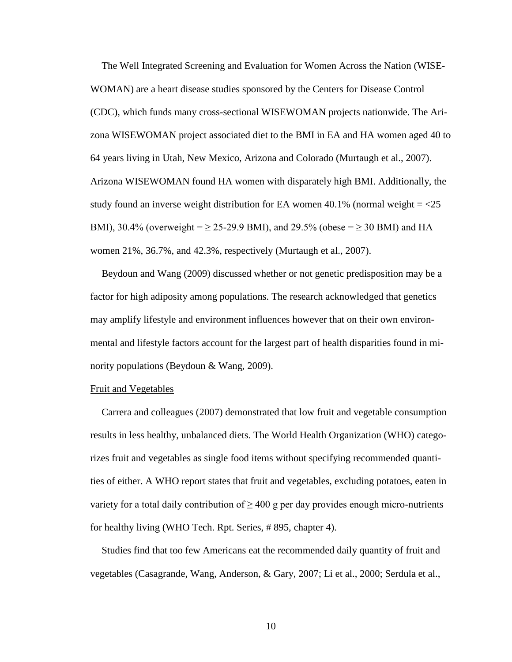The Well Integrated Screening and Evaluation for Women Across the Nation (WISE-WOMAN) are a heart disease studies sponsored by the Centers for Disease Control (CDC), which funds many cross-sectional WISEWOMAN projects nationwide. The Arizona WISEWOMAN project associated diet to the BMI in EA and HA women aged 40 to 64 years living in Utah, New Mexico, Arizona and Colorado (Murtaugh et al., 2007). Arizona WISEWOMAN found HA women with disparately high BMI. Additionally, the study found an inverse weight distribution for EA women  $40.1\%$  (normal weight  $=$   $<$   $25$ ) BMI), 30.4% (overweight =  $\geq$  25-29.9 BMI), and 29.5% (obese =  $\geq$  30 BMI) and HA women 21%, 36.7%, and 42.3%, respectively (Murtaugh et al., 2007).

Beydoun and Wang (2009) discussed whether or not genetic predisposition may be a factor for high adiposity among populations. The research acknowledged that genetics may amplify lifestyle and environment influences however that on their own environmental and lifestyle factors account for the largest part of health disparities found in minority populations (Beydoun & Wang, 2009).

#### Fruit and Vegetables

Carrera and colleagues (2007) demonstrated that low fruit and vegetable consumption results in less healthy, unbalanced diets. The World Health Organization (WHO) categorizes fruit and vegetables as single food items without specifying recommended quantities of either. A WHO report states that fruit and vegetables, excluding potatoes, eaten in variety for a total daily contribution of  $\geq 400$  g per day provides enough micro-nutrients for healthy living (WHO Tech. Rpt. Series, # 895, chapter 4).

Studies find that too few Americans eat the recommended daily quantity of fruit and vegetables (Casagrande, Wang, Anderson, & Gary, 2007; Li et al., 2000; Serdula et al.,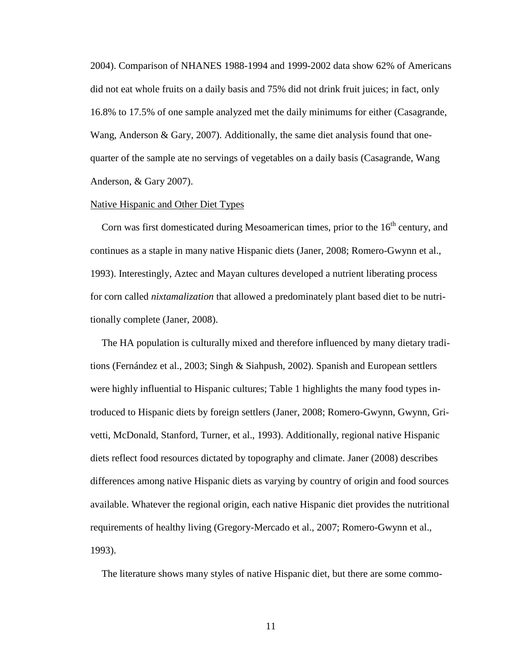2004). Comparison of NHANES 1988-1994 and 1999-2002 data show 62% of Americans did not eat whole fruits on a daily basis and 75% did not drink fruit juices; in fact, only 16.8% to 17.5% of one sample analyzed met the daily minimums for either (Casagrande, Wang, Anderson & Gary, 2007). Additionally, the same diet analysis found that onequarter of the sample ate no servings of vegetables on a daily basis (Casagrande, Wang Anderson, & Gary 2007).

#### Native Hispanic and Other Diet Types

Corn was first domesticated during Mesoamerican times, prior to the  $16<sup>th</sup>$  century, and continues as a staple in many native Hispanic diets (Janer, 2008; Romero-Gwynn et al., 1993). Interestingly, Aztec and Mayan cultures developed a nutrient liberating process for corn called *nixtamalization* that allowed a predominately plant based diet to be nutritionally complete (Janer, 2008).

The HA population is culturally mixed and therefore influenced by many dietary traditions (Fernández et al., 2003; Singh & Siahpush, 2002). Spanish and European settlers were highly influential to Hispanic cultures; Table 1 highlights the many food types introduced to Hispanic diets by foreign settlers (Janer, 2008; Romero-Gwynn, Gwynn, Grivetti, McDonald, Stanford, Turner, et al., 1993). Additionally, regional native Hispanic diets reflect food resources dictated by topography and climate. Janer (2008) describes differences among native Hispanic diets as varying by country of origin and food sources available. Whatever the regional origin, each native Hispanic diet provides the nutritional requirements of healthy living (Gregory-Mercado et al., 2007; Romero-Gwynn et al., 1993).

The literature shows many styles of native Hispanic diet, but there are some commo-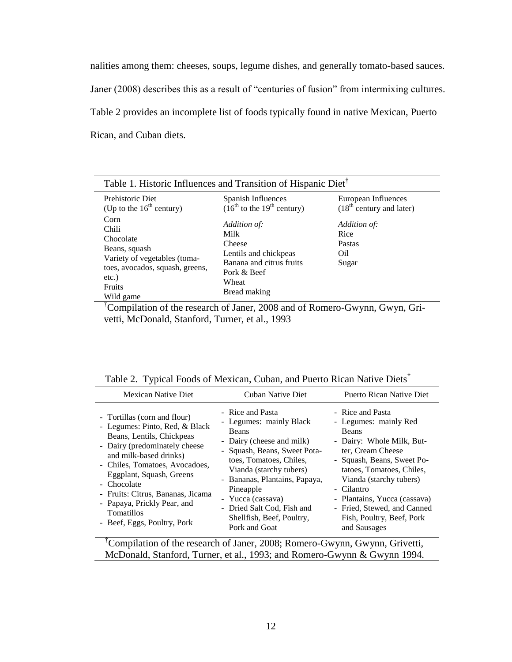nalities among them: cheeses, soups, legume dishes, and generally tomato-based sauces. Janer (2008) describes this as a result of "centuries of fusion" from intermixing cultures. Table 2 provides an incomplete list of foods typically found in native Mexican, Puerto Rican, and Cuban diets.

| Prehistoric Diet                                                                                                                                      | Spanish Influences                                                                                                          | European Influences                            |
|-------------------------------------------------------------------------------------------------------------------------------------------------------|-----------------------------------------------------------------------------------------------------------------------------|------------------------------------------------|
| (Up to the $16th$ century)                                                                                                                            | $(16^{th}$ to the $19^{th}$ century)                                                                                        | $(18th$ century and later)                     |
| Corn<br>Chili<br>Chocolate<br>Beans, squash<br>Variety of vegetables (toma-<br>toes, avocados, squash, greens,<br>etc.)<br><b>Fruits</b><br>Wild game | Addition of:<br>Milk<br>Cheese<br>Lentils and chickpeas<br>Banana and citrus fruits<br>Pork & Beef<br>Wheat<br>Bread making | Addition of:<br>Rice<br>Pastas<br>Oil<br>Sugar |

| <b>Mexican Native Diet</b>                                                                                                                                                                                                                                                                                                                                  | Cuban Native Diet                                                                                                                                                                                                                                                                                                             | Puerto Rican Native Diet                                                                                                                                                                                                                                                                                             |
|-------------------------------------------------------------------------------------------------------------------------------------------------------------------------------------------------------------------------------------------------------------------------------------------------------------------------------------------------------------|-------------------------------------------------------------------------------------------------------------------------------------------------------------------------------------------------------------------------------------------------------------------------------------------------------------------------------|----------------------------------------------------------------------------------------------------------------------------------------------------------------------------------------------------------------------------------------------------------------------------------------------------------------------|
| - Tortillas (corn and flour)<br>- Legumes: Pinto, Red, & Black<br>Beans, Lentils, Chickpeas<br>- Dairy (predominately cheese<br>and milk-based drinks)<br>- Chiles, Tomatoes, Avocadoes,<br>Eggplant, Squash, Greens<br>- Chocolate<br>- Fruits: Citrus, Bananas, Jicama<br>- Papaya, Prickly Pear, and<br><b>Tomatillos</b><br>- Beef, Eggs, Poultry, Pork | - Rice and Pasta<br>- Legumes: mainly Black<br><b>Beans</b><br>- Dairy (cheese and milk)<br>- Squash, Beans, Sweet Pota-<br>toes, Tomatoes, Chiles,<br>Vianda (starchy tubers)<br>- Bananas, Plantains, Papaya,<br>Pineapple<br>- Yucca (cassava)<br>- Dried Salt Cod, Fish and<br>Shellfish, Beef, Poultry,<br>Pork and Goat | - Rice and Pasta<br>- Legumes: mainly Red<br>Beans<br>- Dairy: Whole Milk, But-<br>ter, Cream Cheese<br>- Squash, Beans, Sweet Po-<br>tatoes, Tomatoes, Chiles,<br>Vianda (starchy tubers)<br>- Cilantro<br>- Plantains, Yucca (cassava)<br>- Fried, Stewed, and Canned<br>Fish, Poultry, Beef, Pork<br>and Sausages |

| Table 2. Typical Foods of Mexican, Cuban, and Puerto Rican Native Diets <sup>T</sup> |  |  |  |
|--------------------------------------------------------------------------------------|--|--|--|
|                                                                                      |  |  |  |

<sup>†</sup>Compilation of the research of Janer, 2008; Romero-Gwynn, Gwynn, Grivetti, McDonald, Stanford, Turner, et al., 1993; and Romero-Gwynn & Gwynn 1994.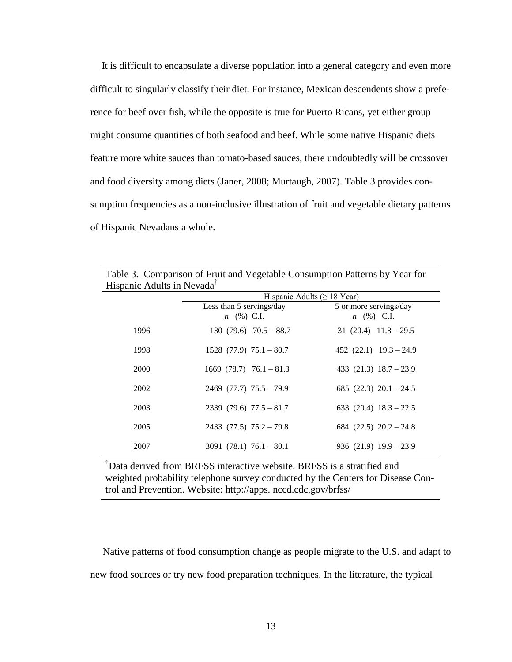It is difficult to encapsulate a diverse population into a general category and even more difficult to singularly classify their diet. For instance, Mexican descendents show a preference for beef over fish, while the opposite is true for Puerto Ricans, yet either group might consume quantities of both seafood and beef. While some native Hispanic diets feature more white sauces than tomato-based sauces, there undoubtedly will be crossover and food diversity among diets (Janer, 2008; Murtaugh, 2007). Table 3 provides consumption frequencies as a non-inclusive illustration of fruit and vegetable dietary patterns of Hispanic Nevadans a whole.

|                                        | Table 3. Comparison of Fruit and Vegetable Consumption Patterns by Year for |                            |
|----------------------------------------|-----------------------------------------------------------------------------|----------------------------|
| Hispanic Adults in Nevada <sup>†</sup> |                                                                             |                            |
|                                        | Hispanic Adults ( $\geq$ 18 Year)                                           |                            |
|                                        | Less than 5 servings/day                                                    | 5 or more servings/day     |
|                                        | $n \ (\%) \ C.I.$                                                           | $n \ (\%) \ C.I.$          |
| 1996                                   | $130(79.6)70.5 - 88.7$                                                      | 31 $(20.4)$ 11.3 - 29.5    |
| 1998                                   | $1528$ (77.9) $75.1 - 80.7$                                                 | 452 $(22.1)$ 19.3 – 24.9   |
| 2000                                   | 1669 $(78.7)$ 76.1 - 81.3                                                   | 433 (21.3) $18.7 - 23.9$   |
| 2002                                   | $2469$ (77.7) $75.5 - 79.9$                                                 | 685 $(22.3)$ $20.1 - 24.5$ |
| 2003                                   | $2339(79.6)$ $77.5 - 81.7$                                                  | 633 (20.4) $18.3 - 22.5$   |
| 2005                                   | $2433$ (77.5) $75.2 - 79.8$                                                 | 684 $(22.5)$ $20.2 - 24.8$ |
| 2007                                   | $3091$ (78.1) $76.1 - 80.1$                                                 | $936(21.9)$ $19.9 - 23.9$  |

| Table 3. Comparison of Fruit and Vegetable Consumption Patterns by Year for |  |
|-----------------------------------------------------------------------------|--|
| Hispanic Adults in Nevada <sup>†</sup>                                      |  |

†Data derived from BRFSS interactive website. BRFSS is a stratified and weighted probability telephone survey conducted by the Centers for Disease Control and Prevention. Website: http://apps. nccd.cdc.gov/brfss/

 Native patterns of food consumption change as people migrate to the U.S. and adapt to new food sources or try new food preparation techniques. In the literature, the typical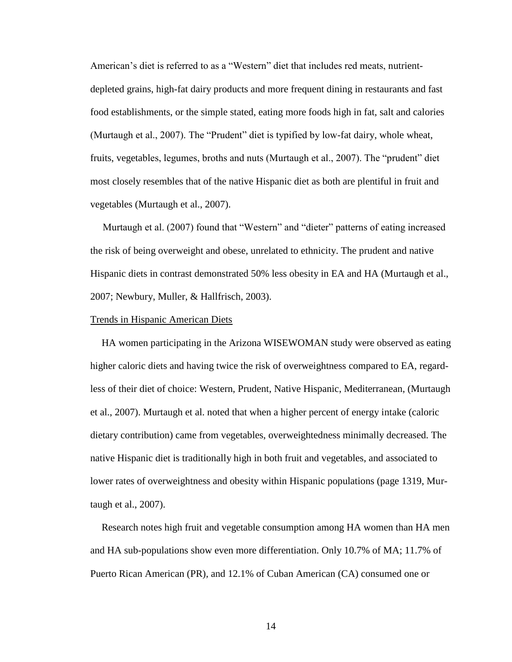American"s diet is referred to as a "Western" diet that includes red meats, nutrientdepleted grains, high-fat dairy products and more frequent dining in restaurants and fast food establishments, or the simple stated, eating more foods high in fat, salt and calories (Murtaugh et al., 2007). The "Prudent" diet is typified by low-fat dairy, whole wheat, fruits, vegetables, legumes, broths and nuts (Murtaugh et al., 2007). The "prudent" diet most closely resembles that of the native Hispanic diet as both are plentiful in fruit and vegetables (Murtaugh et al., 2007).

 Murtaugh et al. (2007) found that "Western" and "dieter" patterns of eating increased the risk of being overweight and obese, unrelated to ethnicity. The prudent and native Hispanic diets in contrast demonstrated 50% less obesity in EA and HA (Murtaugh et al., 2007; Newbury, Muller, & Hallfrisch, 2003).

#### Trends in Hispanic American Diets

HA women participating in the Arizona WISEWOMAN study were observed as eating higher caloric diets and having twice the risk of overweightness compared to EA, regardless of their diet of choice: Western, Prudent, Native Hispanic, Mediterranean, (Murtaugh et al., 2007). Murtaugh et al. noted that when a higher percent of energy intake (caloric dietary contribution) came from vegetables, overweightedness minimally decreased. The native Hispanic diet is traditionally high in both fruit and vegetables, and associated to lower rates of overweightness and obesity within Hispanic populations (page 1319, Murtaugh et al., 2007).

Research notes high fruit and vegetable consumption among HA women than HA men and HA sub-populations show even more differentiation. Only 10.7% of MA; 11.7% of Puerto Rican American (PR), and 12.1% of Cuban American (CA) consumed one or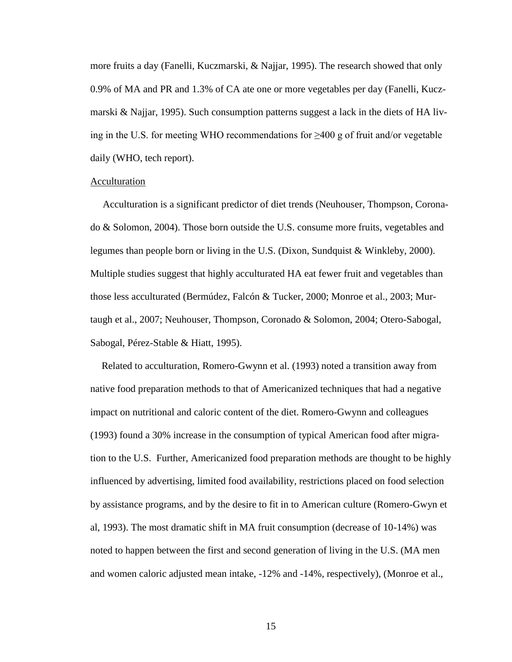more fruits a day (Fanelli, Kuczmarski, & Najjar, 1995). The research showed that only 0.9% of MA and PR and 1.3% of CA ate one or more vegetables per day (Fanelli, Kuczmarski & Najjar, 1995). Such consumption patterns suggest a lack in the diets of HA living in the U.S. for meeting WHO recommendations for ≥400 g of fruit and/or vegetable daily (WHO, tech report).

#### Acculturation

 Acculturation is a significant predictor of diet trends (Neuhouser, Thompson, Coronado & Solomon, 2004). Those born outside the U.S. consume more fruits, vegetables and legumes than people born or living in the U.S. (Dixon, Sundquist & Winkleby, 2000). Multiple studies suggest that highly acculturated HA eat fewer fruit and vegetables than those less acculturated (Bermúdez, Falcón & Tucker, 2000; Monroe et al., 2003; Murtaugh et al., 2007; Neuhouser, Thompson, Coronado & Solomon, 2004; Otero-Sabogal, Sabogal, Pérez-Stable & Hiatt, 1995).

Related to acculturation, Romero-Gwynn et al. (1993) noted a transition away from native food preparation methods to that of Americanized techniques that had a negative impact on nutritional and caloric content of the diet. Romero-Gwynn and colleagues (1993) found a 30% increase in the consumption of typical American food after migration to the U.S. Further, Americanized food preparation methods are thought to be highly influenced by advertising, limited food availability, restrictions placed on food selection by assistance programs, and by the desire to fit in to American culture (Romero-Gwyn et al, 1993). The most dramatic shift in MA fruit consumption (decrease of 10-14%) was noted to happen between the first and second generation of living in the U.S. (MA men and women caloric adjusted mean intake, -12% and -14%, respectively), (Monroe et al.,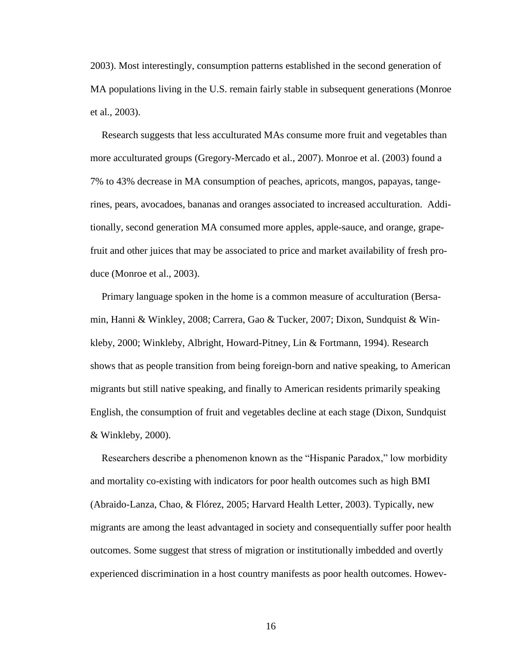2003). Most interestingly, consumption patterns established in the second generation of MA populations living in the U.S. remain fairly stable in subsequent generations (Monroe et al., 2003).

Research suggests that less acculturated MAs consume more fruit and vegetables than more acculturated groups (Gregory-Mercado et al., 2007). Monroe et al. (2003) found a 7% to 43% decrease in MA consumption of peaches, apricots, mangos, papayas, tangerines, pears, avocadoes, bananas and oranges associated to increased acculturation. Additionally, second generation MA consumed more apples, apple-sauce, and orange, grapefruit and other juices that may be associated to price and market availability of fresh produce (Monroe et al., 2003).

Primary language spoken in the home is a common measure of acculturation (Bersamin, Hanni & Winkley, 2008; Carrera, Gao & Tucker, 2007; Dixon, Sundquist & Winkleby, 2000; Winkleby, Albright, Howard-Pitney, Lin & Fortmann, 1994). Research shows that as people transition from being foreign-born and native speaking, to American migrants but still native speaking, and finally to American residents primarily speaking English, the consumption of fruit and vegetables decline at each stage (Dixon, Sundquist & Winkleby, 2000).

Researchers describe a phenomenon known as the "Hispanic Paradox," low morbidity and mortality co-existing with indicators for poor health outcomes such as high BMI (Abraido-Lanza, Chao, & Flórez, 2005; Harvard Health Letter, 2003). Typically, new migrants are among the least advantaged in society and consequentially suffer poor health outcomes. Some suggest that stress of migration or institutionally imbedded and overtly experienced discrimination in a host country manifests as poor health outcomes. Howev-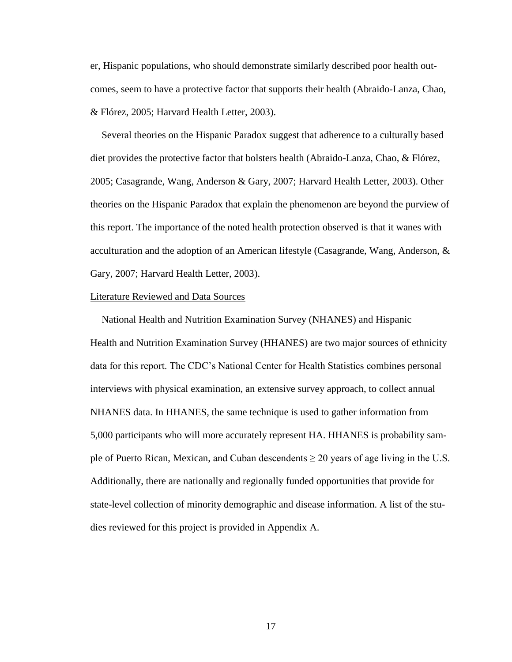er, Hispanic populations, who should demonstrate similarly described poor health outcomes, seem to have a protective factor that supports their health (Abraido-Lanza, Chao, & Flórez, 2005; Harvard Health Letter, 2003).

Several theories on the Hispanic Paradox suggest that adherence to a culturally based diet provides the protective factor that bolsters health (Abraido-Lanza, Chao, & Flórez, 2005; Casagrande, Wang, Anderson & Gary, 2007; Harvard Health Letter, 2003). Other theories on the Hispanic Paradox that explain the phenomenon are beyond the purview of this report. The importance of the noted health protection observed is that it wanes with acculturation and the adoption of an American lifestyle (Casagrande, Wang, Anderson, & Gary, 2007; Harvard Health Letter, 2003).

#### Literature Reviewed and Data Sources

National Health and Nutrition Examination Survey (NHANES) and Hispanic Health and Nutrition Examination Survey (HHANES) are two major sources of ethnicity data for this report. The CDC"s National Center for Health Statistics combines personal interviews with physical examination, an extensive survey approach, to collect annual NHANES data. In HHANES, the same technique is used to gather information from 5,000 participants who will more accurately represent HA. HHANES is probability sample of Puerto Rican, Mexican, and Cuban descendents  $\geq 20$  years of age living in the U.S. Additionally, there are nationally and regionally funded opportunities that provide for state-level collection of minority demographic and disease information. A list of the studies reviewed for this project is provided in Appendix A.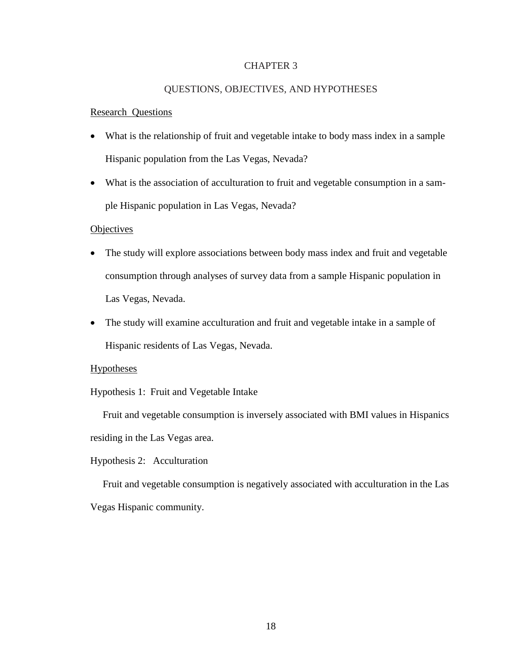#### CHAPTER 3

## QUESTIONS, OBJECTIVES, AND HYPOTHESES

#### Research Questions

- What is the relationship of fruit and vegetable intake to body mass index in a sample Hispanic population from the Las Vegas, Nevada?
- What is the association of acculturation to fruit and vegetable consumption in a sample Hispanic population in Las Vegas, Nevada?

#### **Objectives**

- The study will explore associations between body mass index and fruit and vegetable consumption through analyses of survey data from a sample Hispanic population in Las Vegas, Nevada.
- The study will examine acculturation and fruit and vegetable intake in a sample of Hispanic residents of Las Vegas, Nevada.

#### Hypotheses

Hypothesis 1: Fruit and Vegetable Intake

 Fruit and vegetable consumption is inversely associated with BMI values in Hispanics residing in the Las Vegas area.

Hypothesis 2: Acculturation

 Fruit and vegetable consumption is negatively associated with acculturation in the Las Vegas Hispanic community.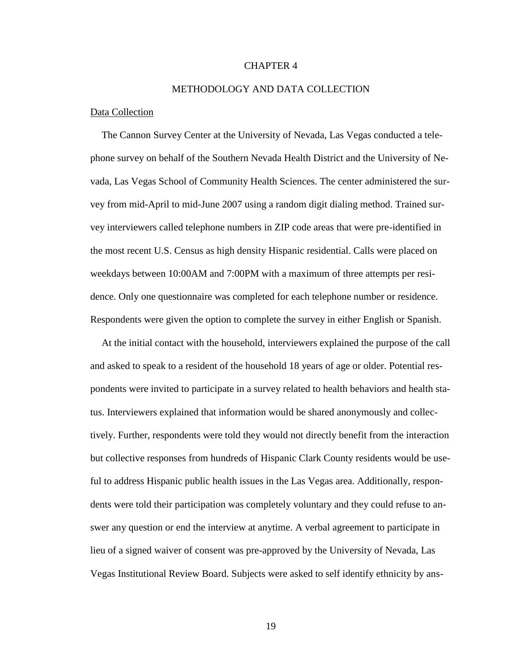#### CHAPTER 4

#### METHODOLOGY AND DATA COLLECTION

#### Data Collection

The Cannon Survey Center at the University of Nevada, Las Vegas conducted a telephone survey on behalf of the Southern Nevada Health District and the University of Nevada, Las Vegas School of Community Health Sciences. The center administered the survey from mid-April to mid-June 2007 using a random digit dialing method. Trained survey interviewers called telephone numbers in ZIP code areas that were pre-identified in the most recent U.S. Census as high density Hispanic residential. Calls were placed on weekdays between 10:00AM and 7:00PM with a maximum of three attempts per residence. Only one questionnaire was completed for each telephone number or residence. Respondents were given the option to complete the survey in either English or Spanish.

At the initial contact with the household, interviewers explained the purpose of the call and asked to speak to a resident of the household 18 years of age or older. Potential respondents were invited to participate in a survey related to health behaviors and health status. Interviewers explained that information would be shared anonymously and collectively. Further, respondents were told they would not directly benefit from the interaction but collective responses from hundreds of Hispanic Clark County residents would be useful to address Hispanic public health issues in the Las Vegas area. Additionally, respondents were told their participation was completely voluntary and they could refuse to answer any question or end the interview at anytime. A verbal agreement to participate in lieu of a signed waiver of consent was pre-approved by the University of Nevada, Las Vegas Institutional Review Board. Subjects were asked to self identify ethnicity by ans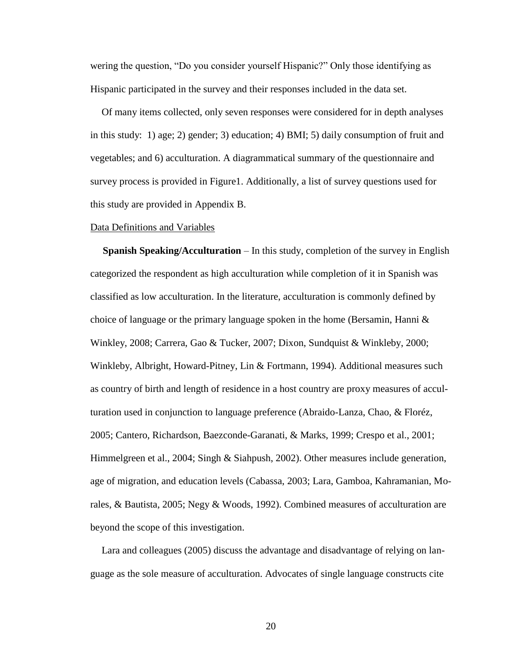wering the question, "Do you consider yourself Hispanic?" Only those identifying as Hispanic participated in the survey and their responses included in the data set.

Of many items collected, only seven responses were considered for in depth analyses in this study: 1) age; 2) gender; 3) education; 4) BMI; 5) daily consumption of fruit and vegetables; and 6) acculturation. A diagrammatical summary of the questionnaire and survey process is provided in Figure1. Additionally, a list of survey questions used for this study are provided in Appendix B.

#### Data Definitions and Variables

 **Spanish Speaking/Acculturation** – In this study, completion of the survey in English categorized the respondent as high acculturation while completion of it in Spanish was classified as low acculturation. In the literature, acculturation is commonly defined by choice of language or the primary language spoken in the home (Bersamin, Hanni  $\&$ Winkley, 2008; Carrera, Gao & Tucker, 2007; Dixon, Sundquist & Winkleby, 2000; Winkleby, Albright, Howard-Pitney, Lin & Fortmann, 1994). Additional measures such as country of birth and length of residence in a host country are proxy measures of acculturation used in conjunction to language preference (Abraido-Lanza, Chao, & Floréz, 2005; Cantero, Richardson, Baezconde-Garanati, & Marks, 1999; Crespo et al., 2001; Himmelgreen et al., 2004; Singh & Siahpush, 2002). Other measures include generation, age of migration, and education levels (Cabassa, 2003; Lara, Gamboa, Kahramanian, Morales, & Bautista, 2005; Negy & Woods, 1992). Combined measures of acculturation are beyond the scope of this investigation.

Lara and colleagues (2005) discuss the advantage and disadvantage of relying on language as the sole measure of acculturation. Advocates of single language constructs cite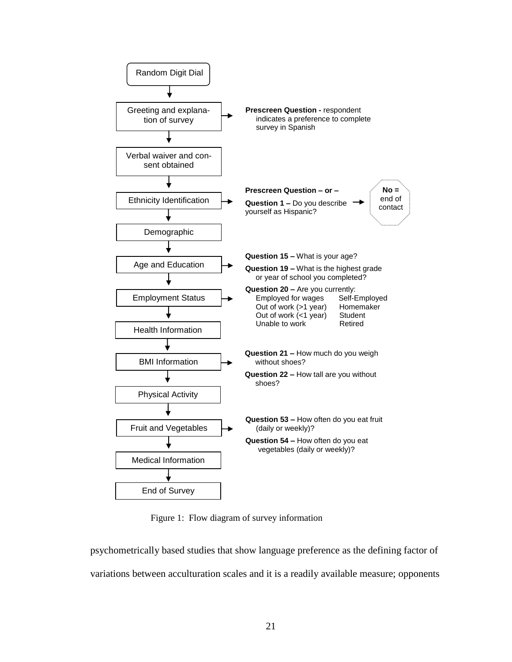

Figure 1: Flow diagram of survey information

psychometrically based studies that show language preference as the defining factor of variations between acculturation scales and it is a readily available measure; opponents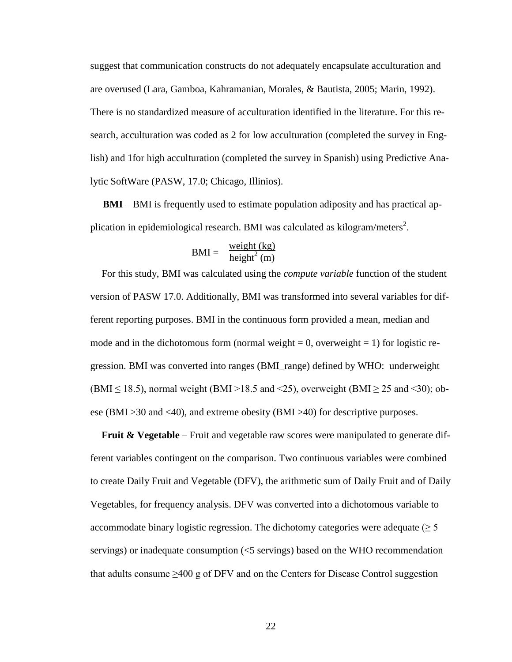suggest that communication constructs do not adequately encapsulate acculturation and are overused (Lara, Gamboa, Kahramanian, Morales, & Bautista, 2005; Marin, 1992). There is no standardized measure of acculturation identified in the literature. For this research, acculturation was coded as 2 for low acculturation (completed the survey in English) and 1for high acculturation (completed the survey in Spanish) using Predictive Analytic SoftWare (PASW, 17.0; Chicago, Illinios).

 **BMI** – BMI is frequently used to estimate population adiposity and has practical application in epidemiological research. BMI was calculated as kilogram/meters<sup>2</sup>.

$$
BMI = \frac{weight (kg)}{height^{2} (m)}
$$

For this study, BMI was calculated using the *compute variable* function of the student version of PASW 17.0. Additionally, BMI was transformed into several variables for different reporting purposes. BMI in the continuous form provided a mean, median and mode and in the dichotomous form (normal weight  $= 0$ , overweight  $= 1$ ) for logistic regression. BMI was converted into ranges (BMI\_range) defined by WHO: underweight  $(BMI \le 18.5)$ , normal weight (BMI >18.5 and <25), overweight (BMI  $\ge 25$  and <30); obese (BMI >30 and <40), and extreme obesity (BMI >40) for descriptive purposes.

**Fruit & Vegetable** – Fruit and vegetable raw scores were manipulated to generate different variables contingent on the comparison. Two continuous variables were combined to create Daily Fruit and Vegetable (DFV), the arithmetic sum of Daily Fruit and of Daily Vegetables, for frequency analysis. DFV was converted into a dichotomous variable to accommodate binary logistic regression. The dichotomy categories were adequate ( $\geq 5$ ) servings) or inadequate consumption (<5 servings) based on the WHO recommendation that adults consume  $\geq 400$  g of DFV and on the Centers for Disease Control suggestion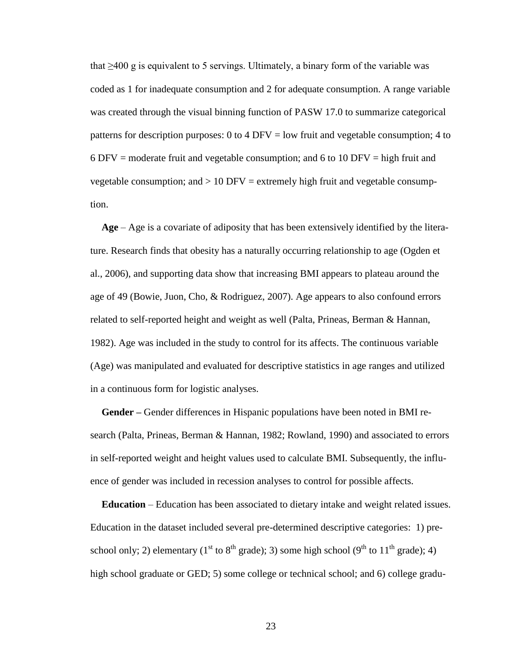that  $\geq 400$  g is equivalent to 5 servings. Ultimately, a binary form of the variable was coded as 1 for inadequate consumption and 2 for adequate consumption. A range variable was created through the visual binning function of PASW 17.0 to summarize categorical patterns for description purposes: 0 to 4 DFV = low fruit and vegetable consumption; 4 to 6 DFV = moderate fruit and vegetable consumption; and 6 to 10 DFV = high fruit and vegetable consumption; and  $> 10$  DFV = extremely high fruit and vegetable consumption.

**Age** – Age is a covariate of adiposity that has been extensively identified by the literature. Research finds that obesity has a naturally occurring relationship to age (Ogden et al., 2006), and supporting data show that increasing BMI appears to plateau around the age of 49 (Bowie, Juon, Cho, & Rodriguez, 2007). Age appears to also confound errors related to self-reported height and weight as well (Palta, Prineas, Berman & Hannan, 1982). Age was included in the study to control for its affects. The continuous variable (Age) was manipulated and evaluated for descriptive statistics in age ranges and utilized in a continuous form for logistic analyses.

**Gender –** Gender differences in Hispanic populations have been noted in BMI research (Palta, Prineas, Berman & Hannan, 1982; Rowland, 1990) and associated to errors in self-reported weight and height values used to calculate BMI. Subsequently, the influence of gender was included in recession analyses to control for possible affects.

**Education** – Education has been associated to dietary intake and weight related issues. Education in the dataset included several pre-determined descriptive categories: 1) preschool only; 2) elementary (1<sup>st</sup> to 8<sup>th</sup> grade); 3) some high school (9<sup>th</sup> to 11<sup>th</sup> grade); 4) high school graduate or GED; 5) some college or technical school; and 6) college gradu-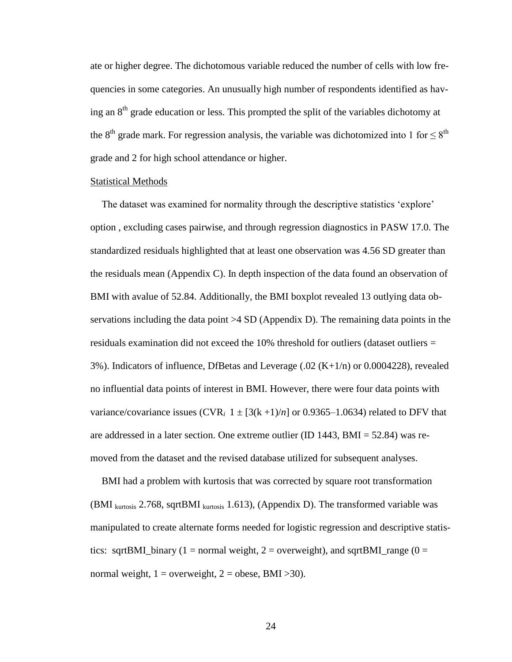ate or higher degree. The dichotomous variable reduced the number of cells with low frequencies in some categories. An unusually high number of respondents identified as having an  $8<sup>th</sup>$  grade education or less. This prompted the split of the variables dichotomy at the 8<sup>th</sup> grade mark. For regression analysis, the variable was dichotomized into 1 for  $\leq 8$ <sup>th</sup> grade and 2 for high school attendance or higher.

#### Statistical Methods

The dataset was examined for normality through the descriptive statistics "explore" option , excluding cases pairwise, and through regression diagnostics in PASW 17.0. The standardized residuals highlighted that at least one observation was 4.56 SD greater than the residuals mean (Appendix C). In depth inspection of the data found an observation of BMI with avalue of 52.84. Additionally, the BMI boxplot revealed 13 outlying data observations including the data point  $>4$  SD (Appendix D). The remaining data points in the residuals examination did not exceed the 10% threshold for outliers (dataset outliers = 3%). Indicators of influence, DfBetas and Leverage  $(.02 (K+1/n))$  or 0.0004228), revealed no influential data points of interest in BMI. However, there were four data points with variance/covariance issues  $(CVR_i \ 1 \pm [3(k+1)/n]$  or 0.9365–1.0634) related to DFV that are addressed in a later section. One extreme outlier (ID 1443, BMI = 52.84) was removed from the dataset and the revised database utilized for subsequent analyses.

BMI had a problem with kurtosis that was corrected by square root transformation (BMI  $_{\text{kurtosis}}$  2.768, sqrtBMI  $_{\text{kurtosis}}$  1.613), (Appendix D). The transformed variable was manipulated to create alternate forms needed for logistic regression and descriptive statistics: sqrtBMI\_binary (1 = normal weight, 2 = overweight), and sqrtBMI\_range (0 = normal weight,  $1 =$  overweight,  $2 =$  obese, BMI >30).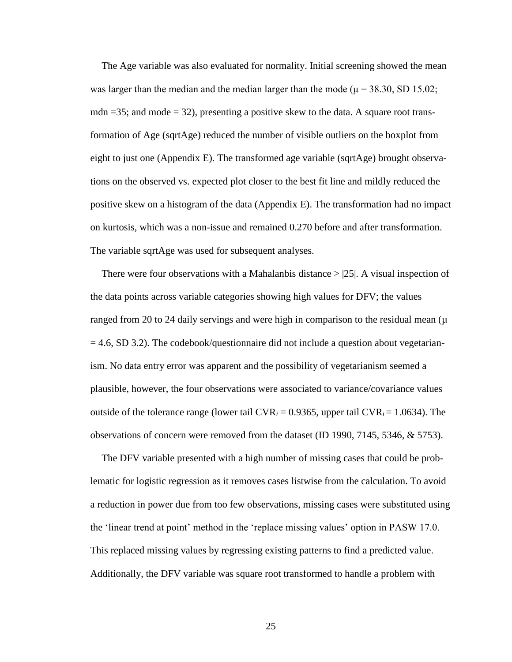The Age variable was also evaluated for normality. Initial screening showed the mean was larger than the median and the median larger than the mode ( $\mu$  = 38.30, SD 15.02; mdn  $=35$ ; and mode  $=32$ ), presenting a positive skew to the data. A square root transformation of Age (sqrtAge) reduced the number of visible outliers on the boxplot from eight to just one (Appendix E). The transformed age variable (sqrtAge) brought observations on the observed vs. expected plot closer to the best fit line and mildly reduced the positive skew on a histogram of the data (Appendix E). The transformation had no impact on kurtosis, which was a non-issue and remained 0.270 before and after transformation. The variable sqrtAge was used for subsequent analyses.

There were four observations with a Mahalanbis distance  $> |25|$ . A visual inspection of the data points across variable categories showing high values for DFV; the values ranged from 20 to 24 daily servings and were high in comparison to the residual mean  $(\mu)$  $= 4.6$ , SD 3.2). The codebook/questionnaire did not include a question about vegetarianism. No data entry error was apparent and the possibility of vegetarianism seemed a plausible, however, the four observations were associated to variance/covariance values outside of the tolerance range (lower tail  $CVR_i = 0.9365$ , upper tail  $CVR_i = 1.0634$ ). The observations of concern were removed from the dataset (ID 1990, 7145, 5346, & 5753).

The DFV variable presented with a high number of missing cases that could be problematic for logistic regression as it removes cases listwise from the calculation. To avoid a reduction in power due from too few observations, missing cases were substituted using the "linear trend at point" method in the "replace missing values" option in PASW 17.0. This replaced missing values by regressing existing patterns to find a predicted value. Additionally, the DFV variable was square root transformed to handle a problem with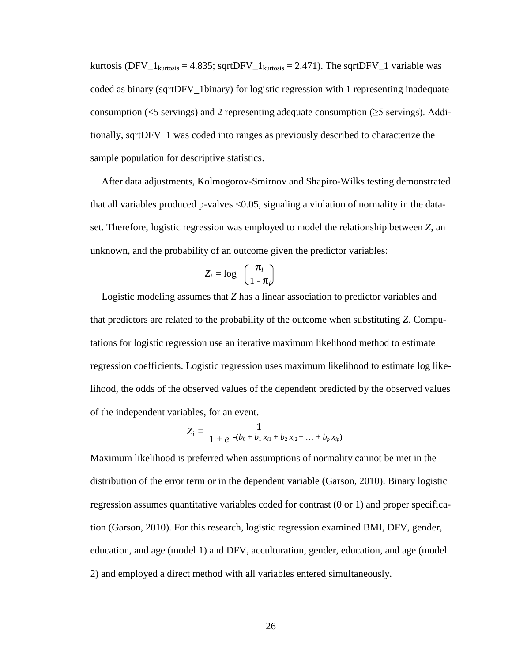kurtosis (DFV<sub>-1kurtosis</sub> = 4.835; sqrtDFV<sub>-1kurtosis</sub> = 2.471). The sqrtDFV<sub>-1</sub> variable was coded as binary (sqrtDFV\_1binary) for logistic regression with 1 representing inadequate consumption ( $\leq$ 5 servings) and 2 representing adequate consumption ( $\geq$ 5 servings). Additionally, sqrtDFV\_1 was coded into ranges as previously described to characterize the sample population for descriptive statistics.

After data adjustments, Kolmogorov-Smirnov and Shapiro-Wilks testing demonstrated that all variables produced p-valves <0.05, signaling a violation of normality in the dataset. Therefore, logistic regression was employed to model the relationship between *Z*, an unknown, and the probability of an outcome given the predictor variables:

$$
Z_i = \log \left( \frac{\pi_i}{1 - \pi_i} \right)
$$

Logistic modeling assumes that *Z* has a linear association to predictor variables and that predictors are related to the probability of the outcome when substituting *Z*. Computations for logistic regression use an iterative maximum likelihood method to estimate regression coefficients. Logistic regression uses maximum likelihood to estimate log likelihood, the odds of the observed values of the dependent predicted by the observed values of the independent variables, for an event.

$$
Z_i = \frac{1}{1 + e^{-(b_0 + b_1 x_{i1} + b_2 x_{i2} + \dots + b_p x_{ip})}}
$$

Maximum likelihood is preferred when assumptions of normality cannot be met in the distribution of the error term or in the dependent variable (Garson, 2010). Binary logistic regression assumes quantitative variables coded for contrast (0 or 1) and proper specification (Garson, 2010). For this research, logistic regression examined BMI, DFV, gender, education, and age (model 1) and DFV, acculturation, gender, education, and age (model 2) and employed a direct method with all variables entered simultaneously.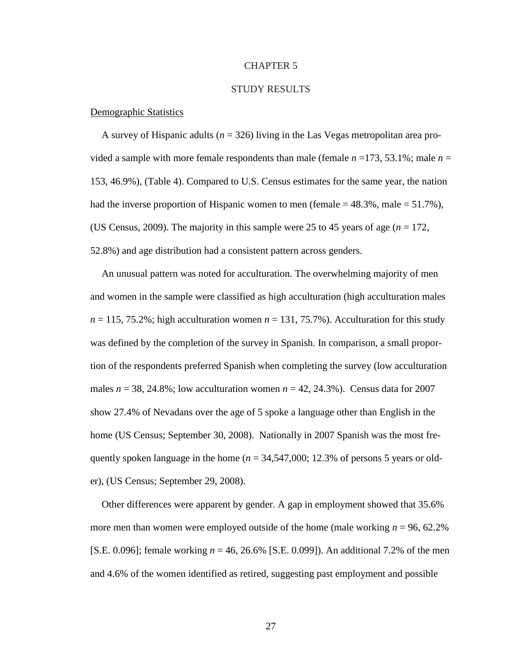#### CHAPTER 5

#### STUDY RESULTS

#### Demographic Statistics

A survey of Hispanic adults (*n* = 326) living in the Las Vegas metropolitan area provided a sample with more female respondents than male (female  $n = 173, 53.1\%$ ; male  $n =$ 153, 46.9%), (Table 4). Compared to U.S. Census estimates for the same year, the nation had the inverse proportion of Hispanic women to men (female  $= 48.3\%$ , male  $= 51.7\%$ ), (US Census, 2009). The majority in this sample were 25 to 45 years of age (*n* = 172, 52.8%) and age distribution had a consistent pattern across genders.

An unusual pattern was noted for acculturation. The overwhelming majority of men and women in the sample were classified as high acculturation (high acculturation males  $n = 115, 75.2\%$ ; high acculturation women  $n = 131, 75.7\%$ ). Acculturation for this study was defined by the completion of the survey in Spanish. In comparison, a small proportion of the respondents preferred Spanish when completing the survey (low acculturation males  $n = 38, 24.8\%$ ; low acculturation women  $n = 42, 24.3\%$ ). Census data for 2007 show 27.4% of Nevadans over the age of 5 spoke a language other than English in the home (US Census; September 30, 2008). Nationally in 2007 Spanish was the most frequently spoken language in the home (*n* = 34,547,000; 12.3% of persons 5 years or older), (US Census; September 29, 2008).

Other differences were apparent by gender. A gap in employment showed that 35.6% more men than women were employed outside of the home (male working *n* = 96, 62.2% [S.E. 0.096]; female working *n* = 46, 26.6% [S.E. 0.099]). An additional 7.2% of the men and 4.6% of the women identified as retired, suggesting past employment and possible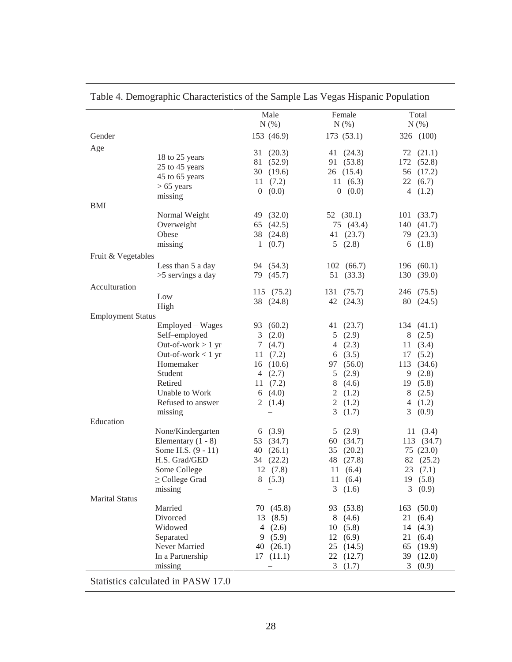|                          |                                    | Male        | Female       | Total         |
|--------------------------|------------------------------------|-------------|--------------|---------------|
|                          |                                    | N(%)        | $N(\%)$      | N(% )         |
| Gender                   |                                    | 153 (46.9)  | 173(53.1)    | 326 (100)     |
| Age                      |                                    | 31(20.3)    | 41 $(24.3)$  | 72 (21.1)     |
|                          | 18 to 25 years                     | 81 (52.9)   | 91 (53.8)    | 172 (52.8)    |
|                          | 25 to 45 years                     | 30 $(19.6)$ | 26(15.4)     | 56 (17.2)     |
|                          | 45 to 65 years                     | 11(7.2)     | 11(6.3)      | 22(6.7)       |
|                          | $> 65$ years                       | 0(0.0)      | 0(0.0)       | 4 $(1.2)$     |
|                          | missing                            |             |              |               |
| BMI                      |                                    |             |              |               |
|                          | Normal Weight                      | 49 (32.0)   | 52 $(30.1)$  | 101(33.7)     |
|                          | Overweight                         | 65 $(42.5)$ | 75 (43.4)    | 140 (41.7)    |
|                          | Obese                              | 38 (24.8)   | 41 $(23.7)$  | 79 (23.3)     |
|                          | missing                            | 1(0.7)      | 5(2.8)       | 6 $(1.8)$     |
| Fruit & Vegetables       |                                    |             |              |               |
|                          | Less than 5 a day                  | 94 (54.3)   | 102(66.7)    | 196 (60.1)    |
|                          | >5 servings a day                  | 79 (45.7)   | 51(33.3)     | 130 (39.0)    |
| Acculturation            |                                    |             |              |               |
|                          | Low                                | 115 (75.2)  | 131(75.7)    | 246 (75.5)    |
|                          | High                               | 38 (24.8)   | 42 $(24.3)$  | 80 (24.5)     |
| <b>Employment Status</b> |                                    |             |              |               |
|                          | Employed - Wages                   | 93 (60.2)   | 41 $(23.7)$  | 134(41.1)     |
|                          | Self-employed                      | 3(2.0)      | 5(2.9)       | 8(2.5)        |
|                          | Out-of-work $> 1$ yr               | 7(4.7)      | 4 $(2.3)$    | 11(3.4)       |
|                          | Out-of-work $< 1$ yr               | 11(7.2)     | 6 $(3.5)$    | 17(5.2)       |
|                          | Homemaker                          | 16(10.6)    | 97 (56.0)    | 113 (34.6)    |
|                          | Student                            | 4 $(2.7)$   | 5(2.9)       | 9(2.8)        |
|                          | Retired                            | 11(7.2)     | 8(4.6)       | 19(5.8)       |
|                          | Unable to Work                     | 6 $(4.0)$   | 2(1.2)       | 8(2.5)        |
|                          | Refused to answer                  | 2 $(1.4)$   | 2 $(1.2)$    | 4 $(1.2)$     |
|                          | missing                            |             | 3(1.7)       | 3(0.9)        |
| Education                |                                    |             |              |               |
|                          | None/Kindergarten                  | 6 (3.9)     | 5(2.9)       | 11(3.4)       |
|                          | Elementary $(1 - 8)$               | 53 (34.7)   | 60 (34.7)    | 113 (34.7)    |
|                          | Some H.S. (9 - 11)                 | 40 $(26.1)$ | 35 $(20.2)$  | 75(23.0)      |
|                          | H.S. Grad/GED                      | 34 (22.2)   | 48 (27.8)    | 82 (25.2)     |
|                          | Some College                       | 12(7.8)     | 11(6.4)      | 23(7.1)       |
|                          | $\geq$ College Grad                | 8(5.3)      | 11(6.4)      | 19 (5.8)      |
|                          | missing                            |             | 3<br>(1.6)   | 3<br>(0.9)    |
| <b>Marital Status</b>    |                                    |             |              |               |
|                          | Married                            | 70 (45.8)   | (53.8)<br>93 | (50.0)<br>163 |
|                          | Divorced                           | (8.5)<br>13 | 8<br>(4.6)   | (6.4)<br>21   |
|                          | Widowed                            | (2.6)<br>4  | 10<br>(5.8)  | (4.3)<br>14   |
|                          | Separated                          | 9(5.9)      | 12<br>(6.9)  | 21<br>(6.4)   |
|                          | Never Married                      | 40 $(26.1)$ | 25<br>(14.5) | 65<br>(19.9)  |
|                          | In a Partnership                   | 17(11.1)    | 22<br>(12.7) | 39 (12.0)     |
|                          | missing                            |             | 3<br>(1.7)   | 3<br>(0.9)    |
|                          | Statistics calculated in PASW 17.0 |             |              |               |

Table 4. Demographic Characteristics of the Sample Las Vegas Hispanic Population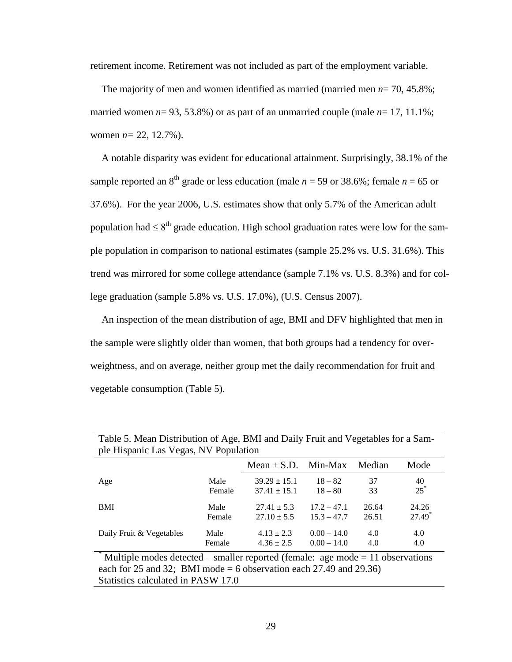retirement income. Retirement was not included as part of the employment variable.

The majority of men and women identified as married (married men *n*= 70, 45.8%; married women  $n= 93, 53.8\%$ ) or as part of an unmarried couple (male  $n= 17, 11.1\%$ ; women *n=* 22, 12.7%).

A notable disparity was evident for educational attainment. Surprisingly, 38.1% of the sample reported an 8<sup>th</sup> grade or less education (male  $n = 59$  or 38.6%; female  $n = 65$  or 37.6%). For the year 2006, U.S. estimates show that only 5.7% of the American adult population had  $\leq 8^{th}$  grade education. High school graduation rates were low for the sample population in comparison to national estimates (sample 25.2% vs. U.S. 31.6%). This trend was mirrored for some college attendance (sample 7.1% vs. U.S. 8.3%) and for college graduation (sample 5.8% vs. U.S. 17.0%), (U.S. Census 2007).

An inspection of the mean distribution of age, BMI and DFV highlighted that men in the sample were slightly older than women, that both groups had a tendency for overweightness, and on average, neither group met the daily recommendation for fruit and vegetable consumption (Table 5).

|                          |        | Mean $\pm$ S.D. Min-Max |               | Median | Mode     |
|--------------------------|--------|-------------------------|---------------|--------|----------|
| Age                      | Male   | $39.29 \pm 15.1$        | $18 - 82$     | 37     | 40       |
|                          | Female | $37.41 \pm 15.1$        | $18 - 80$     | 33     | $25^*$   |
| <b>BMI</b>               | Male   | $27.41 \pm 5.3$         | $17.2 - 47.1$ | 26.64  | 24.26    |
|                          | Female | $27.10 \pm 5.5$         | $15.3 - 47.7$ | 26.51  | $27.49*$ |
| Daily Fruit & Vegetables | Male   | $4.13 \pm 2.3$          | $0.00 - 14.0$ | 4.0    | 4.0      |
|                          | Female | $4.36 \pm 2.5$          | $0.00 - 14.0$ | 4.0    | 4.0      |

Table 5. Mean Distribution of Age, BMI and Daily Fruit and Vegetables for a Sample Hispanic Las Vegas, NV Population

Multiple modes detected – smaller reported (female: age mode  $= 11$  observations each for 25 and 32; BMI mode  $= 6$  observation each 27.49 and 29.36) Statistics calculated in PASW 17.0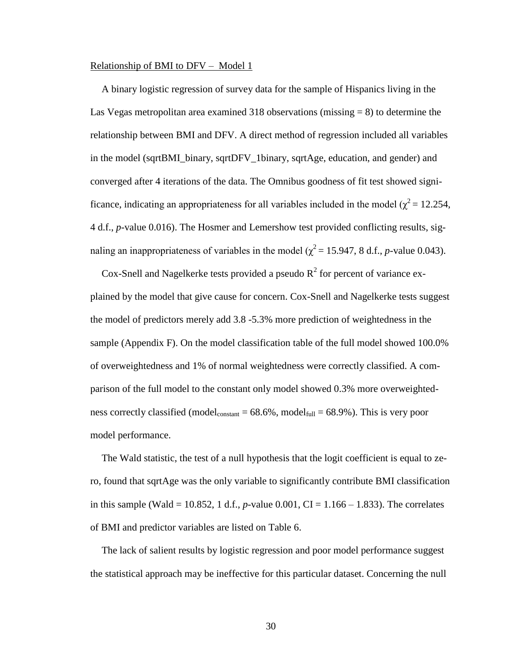#### Relationship of BMI to DFV – Model 1

A binary logistic regression of survey data for the sample of Hispanics living in the Las Vegas metropolitan area examined 318 observations (missing  $= 8$ ) to determine the relationship between BMI and DFV. A direct method of regression included all variables in the model (sqrtBMI\_binary, sqrtDFV\_1binary, sqrtAge, education, and gender) and converged after 4 iterations of the data. The Omnibus goodness of fit test showed significance, indicating an appropriateness for all variables included in the model ( $\chi^2$  = 12.254, 4 d.f., *p*-value 0.016). The Hosmer and Lemershow test provided conflicting results, signaling an inappropriateness of variables in the model ( $\chi^2$  = 15.947, 8 d.f., *p*-value 0.043).

Cox-Snell and Nagelkerke tests provided a pseudo  $R^2$  for percent of variance explained by the model that give cause for concern. Cox-Snell and Nagelkerke tests suggest the model of predictors merely add 3.8 -5.3% more prediction of weightedness in the sample (Appendix F). On the model classification table of the full model showed 100.0% of overweightedness and 1% of normal weightedness were correctly classified. A comparison of the full model to the constant only model showed 0.3% more overweightedness correctly classified (model<sub>constant</sub> =  $68.6\%$ , model<sub>full</sub> =  $68.9\%$ ). This is very poor model performance.

The Wald statistic, the test of a null hypothesis that the logit coefficient is equal to zero, found that sqrtAge was the only variable to significantly contribute BMI classification in this sample (Wald = 10.852, 1 d.f., *p*-value 0.001, CI = 1.166 – 1.833). The correlates of BMI and predictor variables are listed on Table 6.

The lack of salient results by logistic regression and poor model performance suggest the statistical approach may be ineffective for this particular dataset. Concerning the null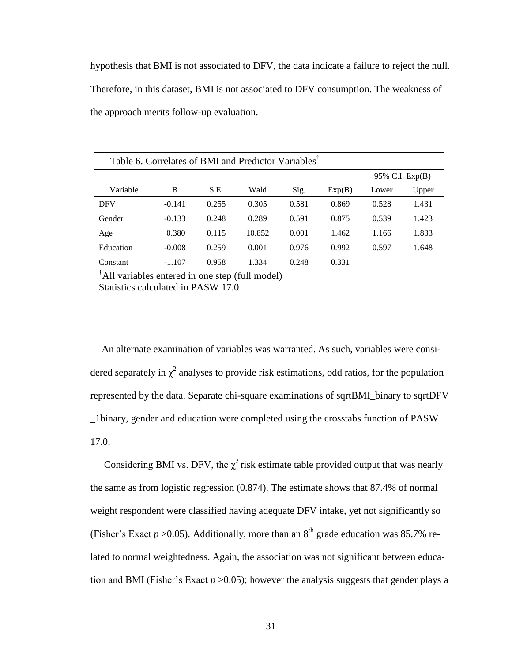hypothesis that BMI is not associated to DFV, the data indicate a failure to reject the null. Therefore, in this dataset, BMI is not associated to DFV consumption. The weakness of the approach merits follow-up evaluation.

| Table 6. Correlates of BMI and Predictor Variables <sup>T</sup>                                   |          |       |        |       |                 |       |       |
|---------------------------------------------------------------------------------------------------|----------|-------|--------|-------|-----------------|-------|-------|
|                                                                                                   |          |       |        |       | 95% C.I. Exp(B) |       |       |
| Variable                                                                                          | B        | S.E.  | Wald   | Sig.  | Exp(B)          | Lower | Upper |
| <b>DFV</b>                                                                                        | $-0.141$ | 0.255 | 0.305  | 0.581 | 0.869           | 0.528 | 1.431 |
| Gender                                                                                            | $-0.133$ | 0.248 | 0.289  | 0.591 | 0.875           | 0.539 | 1.423 |
| Age                                                                                               | 0.380    | 0.115 | 10.852 | 0.001 | 1.462           | 1.166 | 1.833 |
| Education                                                                                         | $-0.008$ | 0.259 | 0.001  | 0.976 | 0.992           | 0.597 | 1.648 |
| Constant                                                                                          | $-1.107$ | 0.958 | 1.334  | 0.248 | 0.331           |       |       |
| <sup>T</sup> All variables entered in one step (full model)<br>Statistics calculated in PASW 17.0 |          |       |        |       |                 |       |       |

An alternate examination of variables was warranted. As such, variables were considered separately in  $\chi^2$  analyses to provide risk estimations, odd ratios, for the population represented by the data. Separate chi-square examinations of sqrtBMI\_binary to sqrtDFV \_1binary, gender and education were completed using the crosstabs function of PASW 17.0.

Considering BMI vs. DFV, the  $\chi^2$  risk estimate table provided output that was nearly the same as from logistic regression (0.874). The estimate shows that 87.4% of normal weight respondent were classified having adequate DFV intake, yet not significantly so (Fisher's Exact  $p > 0.05$ ). Additionally, more than an 8<sup>th</sup> grade education was 85.7% related to normal weightedness. Again, the association was not significant between education and BMI (Fisher's Exact  $p > 0.05$ ); however the analysis suggests that gender plays a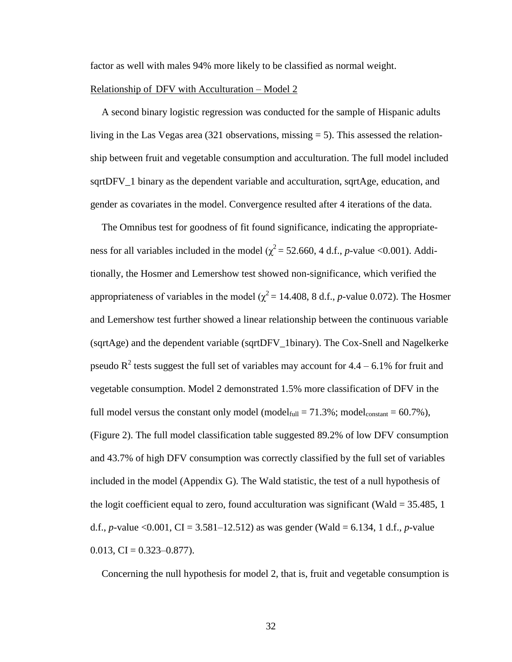factor as well with males 94% more likely to be classified as normal weight.

#### Relationship of DFV with Acculturation – Model 2

A second binary logistic regression was conducted for the sample of Hispanic adults living in the Las Vegas area (321 observations, missing  $= 5$ ). This assessed the relationship between fruit and vegetable consumption and acculturation. The full model included sqrtDFV\_1 binary as the dependent variable and acculturation, sqrtAge, education, and gender as covariates in the model. Convergence resulted after 4 iterations of the data.

The Omnibus test for goodness of fit found significance, indicating the appropriateness for all variables included in the model ( $\chi^2$  = 52.660, 4 d.f., *p*-value <0.001). Additionally, the Hosmer and Lemershow test showed non-significance, which verified the appropriateness of variables in the model ( $\chi^2$  = 14.408, 8 d.f., *p*-value 0.072). The Hosmer and Lemershow test further showed a linear relationship between the continuous variable (sqrtAge) and the dependent variable (sqrtDFV\_1binary). The Cox-Snell and Nagelkerke pseudo  $R^2$  tests suggest the full set of variables may account for 4.4 – 6.1% for fruit and vegetable consumption. Model 2 demonstrated 1.5% more classification of DFV in the full model versus the constant only model (model $_{\text{full}} = 71.3\%$ ; model $_{\text{constant}} = 60.7\%$ ), (Figure 2). The full model classification table suggested 89.2% of low DFV consumption and 43.7% of high DFV consumption was correctly classified by the full set of variables included in the model (Appendix G). The Wald statistic, the test of a null hypothesis of the logit coefficient equal to zero, found acculturation was significant (Wald  $=$  35.485, 1 d.f., *p*-value <0.001, CI = 3.581–12.512) as was gender (Wald = 6.134, 1 d.f., *p*-value  $0.013$ , CI =  $0.323 - 0.877$ ).

Concerning the null hypothesis for model 2, that is, fruit and vegetable consumption is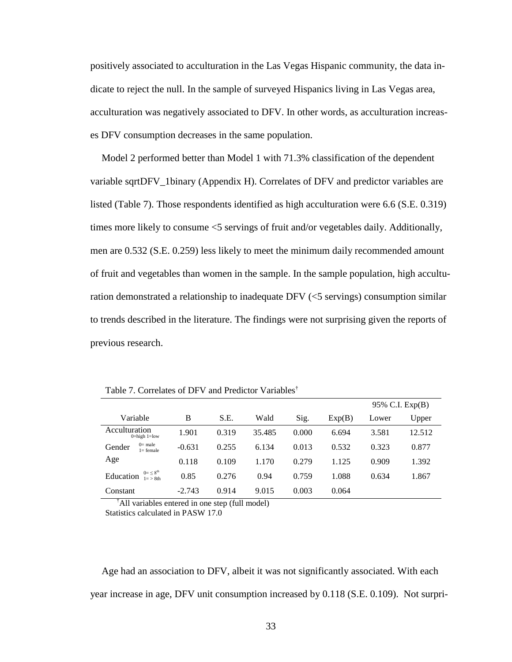positively associated to acculturation in the Las Vegas Hispanic community, the data indicate to reject the null. In the sample of surveyed Hispanics living in Las Vegas area, acculturation was negatively associated to DFV. In other words, as acculturation increases DFV consumption decreases in the same population.

Model 2 performed better than Model 1 with 71.3% classification of the dependent variable sqrtDFV\_1binary (Appendix H). Correlates of DFV and predictor variables are listed (Table 7). Those respondents identified as high acculturation were 6.6 (S.E. 0.319) times more likely to consume <5 servings of fruit and/or vegetables daily. Additionally, men are 0.532 (S.E. 0.259) less likely to meet the minimum daily recommended amount of fruit and vegetables than women in the sample. In the sample population, high acculturation demonstrated a relationship to inadequate DFV (<5 servings) consumption similar to trends described in the literature. The findings were not surprising given the reports of previous research.

|                                                     |          |       |        |       |        | 95% C.I. Exp(B) |        |
|-----------------------------------------------------|----------|-------|--------|-------|--------|-----------------|--------|
| Variable                                            | B        | S.E.  | Wald   | Sig.  | Exp(B) | Lower           | Upper  |
| Acculturation<br>$0 = high 1 = low$                 | 1.901    | 0.319 | 35.485 | 0.000 | 6.694  | 3.581           | 12.512 |
| $0 =$ male<br>Gender<br>$l = female$                | $-0.631$ | 0.255 | 6.134  | 0.013 | 0.532  | 0.323           | 0.877  |
| Age                                                 | 0.118    | 0.109 | 1.170  | 0.279 | 1.125  | 0.909           | 1.392  |
| $0 = \leq 8^{th}$<br>Education<br>$1 = \frac{1}{2}$ | 0.85     | 0.276 | 0.94   | 0.759 | 1.088  | 0.634           | 1.867  |
| Constant                                            | $-2.743$ | 0.914 | 9.015  | 0.003 | 0.064  |                 |        |

Table 7. Correlates of DFV and Predictor Variables†

†All variables entered in one step (full model)

Statistics calculated in PASW 17.0

Age had an association to DFV, albeit it was not significantly associated. With each year increase in age, DFV unit consumption increased by 0.118 (S.E. 0.109). Not surpri-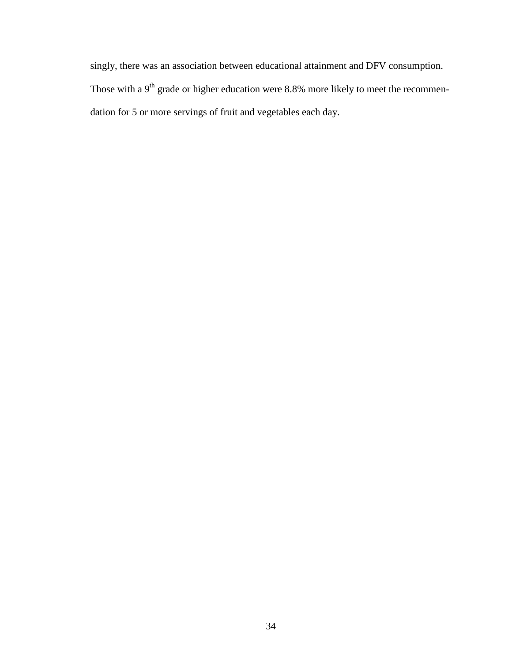singly, there was an association between educational attainment and DFV consumption. Those with a  $9<sup>th</sup>$  grade or higher education were 8.8% more likely to meet the recommendation for 5 or more servings of fruit and vegetables each day.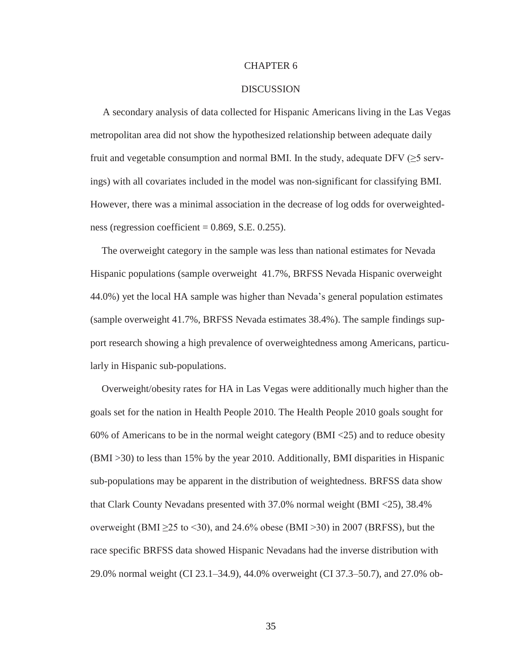#### CHAPTER 6

#### **DISCUSSION**

 A secondary analysis of data collected for Hispanic Americans living in the Las Vegas metropolitan area did not show the hypothesized relationship between adequate daily fruit and vegetable consumption and normal BMI. In the study, adequate DFV ( $\geq$ 5 servings) with all covariates included in the model was non-significant for classifying BMI. However, there was a minimal association in the decrease of log odds for overweightedness (regression coefficient  $= 0.869$ , S.E. 0.255).

The overweight category in the sample was less than national estimates for Nevada Hispanic populations (sample overweight 41.7%, BRFSS Nevada Hispanic overweight 44.0%) yet the local HA sample was higher than Nevada"s general population estimates (sample overweight 41.7%, BRFSS Nevada estimates 38.4%). The sample findings support research showing a high prevalence of overweightedness among Americans, particularly in Hispanic sub-populations.

Overweight/obesity rates for HA in Las Vegas were additionally much higher than the goals set for the nation in Health People 2010. The Health People 2010 goals sought for 60% of Americans to be in the normal weight category (BMI <25) and to reduce obesity (BMI >30) to less than 15% by the year 2010. Additionally, BMI disparities in Hispanic sub-populations may be apparent in the distribution of weightedness. BRFSS data show that Clark County Nevadans presented with 37.0% normal weight (BMI <25), 38.4% overweight (BMI  $\geq$ 25 to <30), and 24.6% obese (BMI >30) in 2007 (BRFSS), but the race specific BRFSS data showed Hispanic Nevadans had the inverse distribution with 29.0% normal weight (CI 23.1–34.9), 44.0% overweight (CI 37.3–50.7), and 27.0% ob-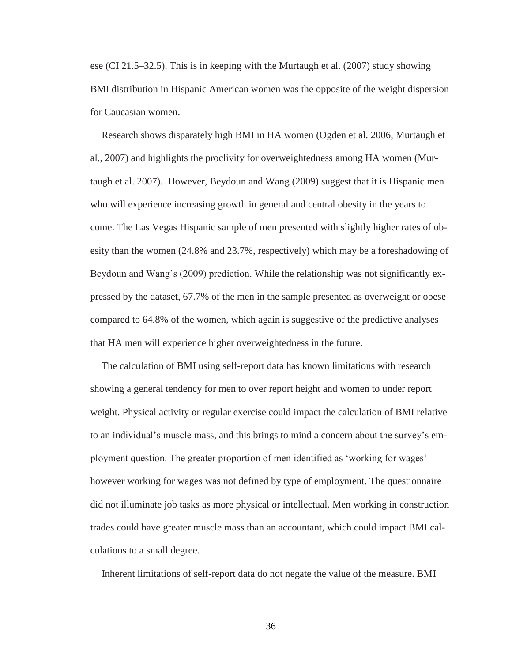ese (CI 21.5–32.5). This is in keeping with the Murtaugh et al. (2007) study showing BMI distribution in Hispanic American women was the opposite of the weight dispersion for Caucasian women.

Research shows disparately high BMI in HA women (Ogden et al. 2006, Murtaugh et al., 2007) and highlights the proclivity for overweightedness among HA women (Murtaugh et al. 2007). However, Beydoun and Wang (2009) suggest that it is Hispanic men who will experience increasing growth in general and central obesity in the years to come. The Las Vegas Hispanic sample of men presented with slightly higher rates of obesity than the women (24.8% and 23.7%, respectively) which may be a foreshadowing of Beydoun and Wang's (2009) prediction. While the relationship was not significantly expressed by the dataset, 67.7% of the men in the sample presented as overweight or obese compared to 64.8% of the women, which again is suggestive of the predictive analyses that HA men will experience higher overweightedness in the future.

The calculation of BMI using self-report data has known limitations with research showing a general tendency for men to over report height and women to under report weight. Physical activity or regular exercise could impact the calculation of BMI relative to an individual"s muscle mass, and this brings to mind a concern about the survey"s employment question. The greater proportion of men identified as "working for wages" however working for wages was not defined by type of employment. The questionnaire did not illuminate job tasks as more physical or intellectual. Men working in construction trades could have greater muscle mass than an accountant, which could impact BMI calculations to a small degree.

Inherent limitations of self-report data do not negate the value of the measure. BMI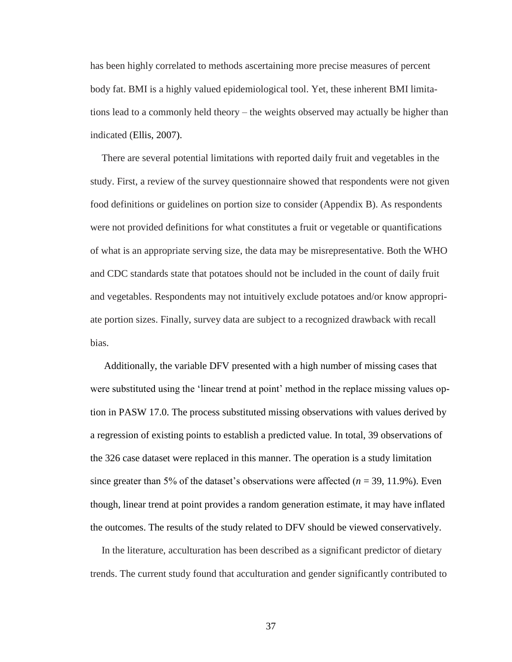has been highly correlated to methods ascertaining more precise measures of percent body fat. BMI is a highly valued epidemiological tool. Yet, these inherent BMI limitations lead to a commonly held theory – the weights observed may actually be higher than indicated (Ellis, 2007).

There are several potential limitations with reported daily fruit and vegetables in the study. First, a review of the survey questionnaire showed that respondents were not given food definitions or guidelines on portion size to consider (Appendix B). As respondents were not provided definitions for what constitutes a fruit or vegetable or quantifications of what is an appropriate serving size, the data may be misrepresentative. Both the WHO and CDC standards state that potatoes should not be included in the count of daily fruit and vegetables. Respondents may not intuitively exclude potatoes and/or know appropriate portion sizes. Finally, survey data are subject to a recognized drawback with recall bias.

Additionally, the variable DFV presented with a high number of missing cases that were substituted using the 'linear trend at point' method in the replace missing values option in PASW 17.0. The process substituted missing observations with values derived by a regression of existing points to establish a predicted value. In total, 39 observations of the 326 case dataset were replaced in this manner. The operation is a study limitation since greater than 5% of the dataset's observations were affected  $(n = 39, 11.9\%)$ . Even though, linear trend at point provides a random generation estimate, it may have inflated the outcomes. The results of the study related to DFV should be viewed conservatively.

In the literature, acculturation has been described as a significant predictor of dietary trends. The current study found that acculturation and gender significantly contributed to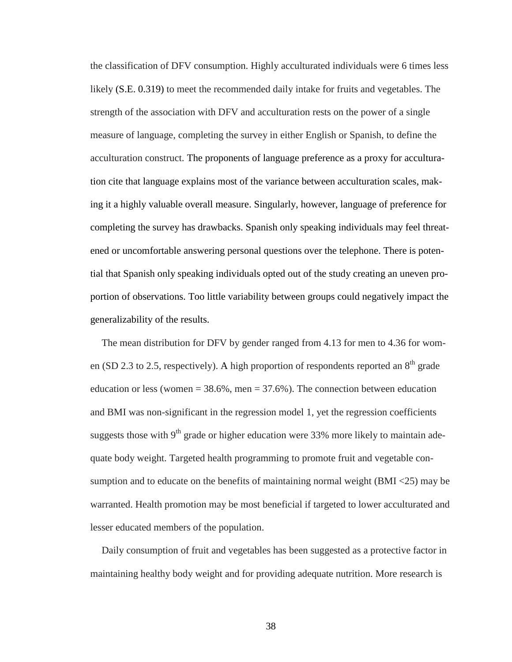the classification of DFV consumption. Highly acculturated individuals were 6 times less likely (S.E. 0.319) to meet the recommended daily intake for fruits and vegetables. The strength of the association with DFV and acculturation rests on the power of a single measure of language, completing the survey in either English or Spanish, to define the acculturation construct. The proponents of language preference as a proxy for acculturation cite that language explains most of the variance between acculturation scales, making it a highly valuable overall measure. Singularly, however, language of preference for completing the survey has drawbacks. Spanish only speaking individuals may feel threatened or uncomfortable answering personal questions over the telephone. There is potential that Spanish only speaking individuals opted out of the study creating an uneven proportion of observations. Too little variability between groups could negatively impact the generalizability of the results.

The mean distribution for DFV by gender ranged from 4.13 for men to 4.36 for women (SD 2.3 to 2.5, respectively). A high proportion of respondents reported an  $8<sup>th</sup>$  grade education or less (women  $= 38.6\%$ , men  $= 37.6\%$ ). The connection between education and BMI was non-significant in the regression model 1, yet the regression coefficients suggests those with  $9<sup>th</sup>$  grade or higher education were 33% more likely to maintain adequate body weight. Targeted health programming to promote fruit and vegetable consumption and to educate on the benefits of maintaining normal weight (BMI <25) may be warranted. Health promotion may be most beneficial if targeted to lower acculturated and lesser educated members of the population.

Daily consumption of fruit and vegetables has been suggested as a protective factor in maintaining healthy body weight and for providing adequate nutrition. More research is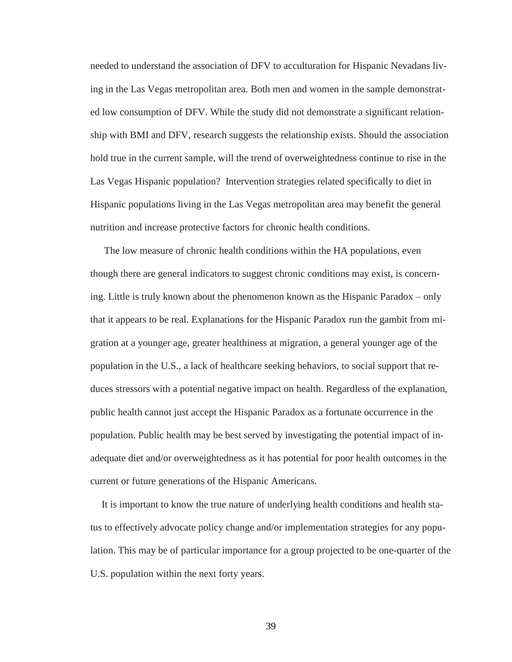needed to understand the association of DFV to acculturation for Hispanic Nevadans living in the Las Vegas metropolitan area. Both men and women in the sample demonstrated low consumption of DFV. While the study did not demonstrate a significant relationship with BMI and DFV, research suggests the relationship exists. Should the association hold true in the current sample, will the trend of overweightedness continue to rise in the Las Vegas Hispanic population? Intervention strategies related specifically to diet in Hispanic populations living in the Las Vegas metropolitan area may benefit the general nutrition and increase protective factors for chronic health conditions.

The low measure of chronic health conditions within the HA populations, even though there are general indicators to suggest chronic conditions may exist, is concerning. Little is truly known about the phenomenon known as the Hispanic Paradox – only that it appears to be real. Explanations for the Hispanic Paradox run the gambit from migration at a younger age, greater healthiness at migration, a general younger age of the population in the U.S., a lack of healthcare seeking behaviors, to social support that reduces stressors with a potential negative impact on health. Regardless of the explanation, public health cannot just accept the Hispanic Paradox as a fortunate occurrence in the population. Public health may be best served by investigating the potential impact of inadequate diet and/or overweightedness as it has potential for poor health outcomes in the current or future generations of the Hispanic Americans.

It is important to know the true nature of underlying health conditions and health status to effectively advocate policy change and/or implementation strategies for any population. This may be of particular importance for a group projected to be one-quarter of the U.S. population within the next forty years.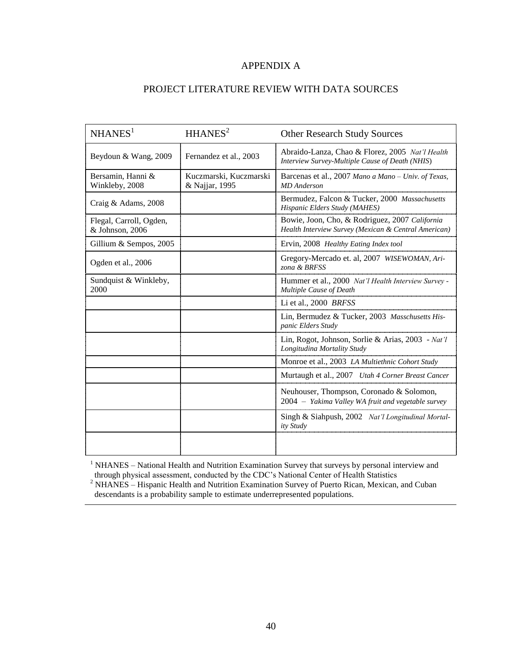## APPENDIX A

# PROJECT LITERATURE REVIEW WITH DATA SOURCES

| NHANES <sup>1</sup>                        | HHANES <sup>2</sup>                      | <b>Other Research Study Sources</b>                                                                    |  |  |
|--------------------------------------------|------------------------------------------|--------------------------------------------------------------------------------------------------------|--|--|
| Beydoun & Wang, 2009                       | Fernandez et al., 2003                   | Abraido-Lanza, Chao & Florez, 2005 Nat'l Health<br>Interview Survey-Multiple Cause of Death (NHIS)     |  |  |
| Bersamin, Hanni &<br>Winkleby, 2008        | Kuczmarski, Kuczmarski<br>& Najjar, 1995 | Barcenas et al., 2007 Mano a Mano – Univ. of Texas,<br><b>MD</b> Anderson                              |  |  |
| Craig & Adams, 2008                        |                                          | Bermudez, Falcon & Tucker, 2000 Massachusetts<br>Hispanic Elders Study (MAHES)                         |  |  |
| Flegal, Carroll, Ogden,<br>& Johnson, 2006 |                                          | Bowie, Joon, Cho, & Rodriguez, 2007 California<br>Health Interview Survey (Mexican & Central American) |  |  |
| Gillium & Sempos, 2005                     |                                          | Ervin, 2008 Healthy Eating Index tool                                                                  |  |  |
| Ogden et al., 2006                         |                                          | Gregory-Mercado et. al, 2007 WISEWOMAN, Ari-<br>zona & BRFSS                                           |  |  |
| Sundquist & Winkleby,<br>2000              |                                          | Hummer et al., 2000 Nat'l Health Interview Survey -<br>Multiple Cause of Death                         |  |  |
|                                            |                                          | Li et al., $2000$ BRFSS                                                                                |  |  |
|                                            |                                          | Lin, Bermudez & Tucker, 2003 Masschusetts His-<br>panic Elders Study                                   |  |  |
|                                            |                                          | Lin, Rogot, Johnson, Sorlie & Arias, 2003 - Nat'l<br>Longitudina Mortality Study                       |  |  |
|                                            |                                          | Monroe et al., 2003 LA Multiethnic Cohort Study                                                        |  |  |
|                                            |                                          | Murtaugh et al., 2007 Utah 4 Corner Breast Cancer                                                      |  |  |
|                                            |                                          | Neuhouser, Thompson, Coronado & Solomon,<br>2004 - Yakima Valley WA fruit and vegetable survey         |  |  |
|                                            |                                          | Singh & Siahpush, 2002 Nat'l Longitudinal Mortal-<br>ity Study                                         |  |  |
|                                            |                                          |                                                                                                        |  |  |

<sup>1</sup> NHANES – National Health and Nutrition Examination Survey that surveys by personal interview and through physical assessment, conducted by the CDC"s National Center of Health Statistics

 $2$  NHANES – Hispanic Health and Nutrition Examination Survey of Puerto Rican, Mexican, and Cuban descendants is a probability sample to estimate underrepresented populations.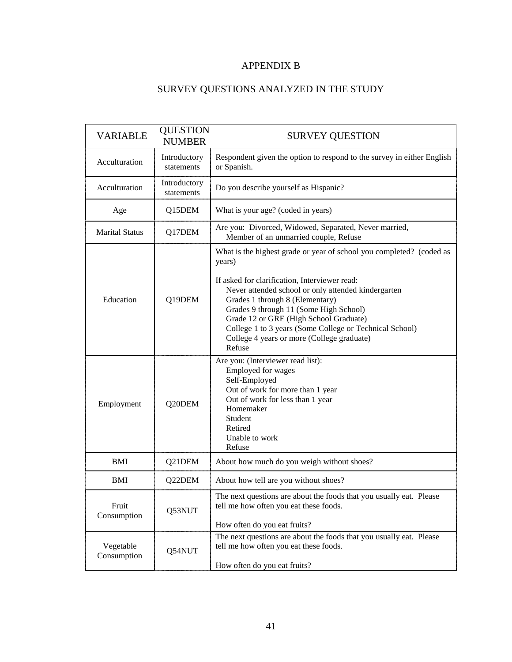# APPENDIX B

# SURVEY QUESTIONS ANALYZED IN THE STUDY

| <b>VARIABLE</b>                                                                                              | <b>QUESTION</b><br><b>NUMBER</b>                                                                                                                        | <b>SURVEY QUESTION</b>                                                                                                                                                                                                                                                                                                                                                                                                           |  |  |  |
|--------------------------------------------------------------------------------------------------------------|---------------------------------------------------------------------------------------------------------------------------------------------------------|----------------------------------------------------------------------------------------------------------------------------------------------------------------------------------------------------------------------------------------------------------------------------------------------------------------------------------------------------------------------------------------------------------------------------------|--|--|--|
| Introductory<br>Acculturation<br>statements                                                                  |                                                                                                                                                         | Respondent given the option to respond to the survey in either English<br>or Spanish.                                                                                                                                                                                                                                                                                                                                            |  |  |  |
| Acculturation                                                                                                | Introductory<br>statements                                                                                                                              | Do you describe yourself as Hispanic?                                                                                                                                                                                                                                                                                                                                                                                            |  |  |  |
| Age                                                                                                          | Q15DEM                                                                                                                                                  | What is your age? (coded in years)                                                                                                                                                                                                                                                                                                                                                                                               |  |  |  |
| <b>Marital Status</b>                                                                                        | Q17DEM                                                                                                                                                  | Are you: Divorced, Widowed, Separated, Never married,<br>Member of an unmarried couple, Refuse                                                                                                                                                                                                                                                                                                                                   |  |  |  |
| Education                                                                                                    | Q19DEM                                                                                                                                                  | What is the highest grade or year of school you completed? (coded as<br>years)<br>If asked for clarification, Interviewer read:<br>Never attended school or only attended kindergarten<br>Grades 1 through 8 (Elementary)<br>Grades 9 through 11 (Some High School)<br>Grade 12 or GRE (High School Graduate)<br>College 1 to 3 years (Some College or Technical School)<br>College 4 years or more (College graduate)<br>Refuse |  |  |  |
| Q20DEM<br>Employment                                                                                         |                                                                                                                                                         | Are you: (Interviewer read list):<br>Employed for wages<br>Self-Employed<br>Out of work for more than 1 year<br>Out of work for less than 1 year<br>Homemaker<br>Student<br>Retired<br>Unable to work<br>Refuse                                                                                                                                                                                                                  |  |  |  |
| <b>BMI</b>                                                                                                   | Q21DEM                                                                                                                                                  | About how much do you weigh without shoes?                                                                                                                                                                                                                                                                                                                                                                                       |  |  |  |
| <b>BMI</b>                                                                                                   | Q22DEM                                                                                                                                                  | About how tell are you without shoes?                                                                                                                                                                                                                                                                                                                                                                                            |  |  |  |
| Fruit<br>Consumption                                                                                         | The next questions are about the foods that you usually eat. Please<br>tell me how often you eat these foods.<br>Q53NUT<br>How often do you eat fruits? |                                                                                                                                                                                                                                                                                                                                                                                                                                  |  |  |  |
| Vegetable<br>tell me how often you eat these foods.<br>Q54NUT<br>Consumption<br>How often do you eat fruits? |                                                                                                                                                         | The next questions are about the foods that you usually eat. Please                                                                                                                                                                                                                                                                                                                                                              |  |  |  |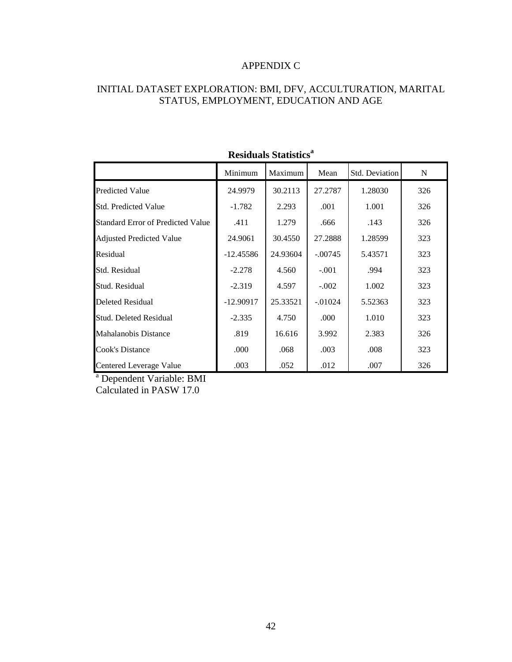## APPENDIX C

# INITIAL DATASET EXPLORATION: BMI, DFV, ACCULTURATION, MARITAL STATUS, EMPLOYMENT, EDUCATION AND AGE

|                                          | Minimum     | Maximum  | Mean      | Std. Deviation | N   |
|------------------------------------------|-------------|----------|-----------|----------------|-----|
| <b>Predicted Value</b>                   | 24.9979     | 30.2113  | 27.2787   | 1.28030        | 326 |
| <b>Std. Predicted Value</b>              | $-1.782$    | 2.293    | .001      | 1.001          | 326 |
| <b>Standard Error of Predicted Value</b> | .411        | 1.279    | .666      | .143           | 326 |
| <b>Adjusted Predicted Value</b>          | 24.9061     | 30.4550  | 27.2888   | 1.28599        | 323 |
| Residual                                 | $-12.45586$ | 24.93604 | $-.00745$ | 5.43571        | 323 |
| Std. Residual                            | $-2.278$    | 4.560    | $-.001$   | .994           | 323 |
| Stud. Residual                           | $-2.319$    | 4.597    | $-.002$   | 1.002          | 323 |
| <b>Deleted Residual</b>                  | $-12.90917$ | 25.33521 | $-.01024$ | 5.52363        | 323 |
| Stud. Deleted Residual                   | $-2.335$    | 4.750    | .000      | 1.010          | 323 |
| <b>Mahalanobis Distance</b>              | .819        | 16.616   | 3.992     | 2.383          | 326 |
| Cook's Distance                          | .000        | .068     | .003      | .008           | 323 |
| <b>Centered Leverage Value</b>           | .003        | .052     | .012      | .007           | 326 |

# **Residuals Statistics<sup>a</sup>**

<sup>a</sup> Dependent Variable: BMI Calculated in PASW 17.0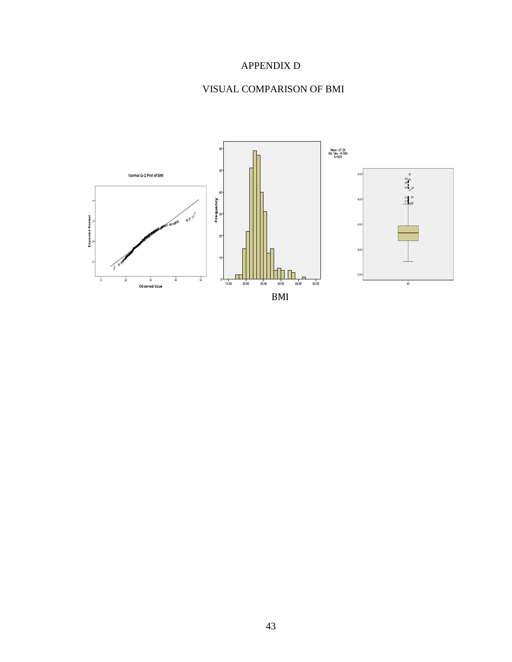# APPENDIX D

# VISUAL COMPARISON OF BMI

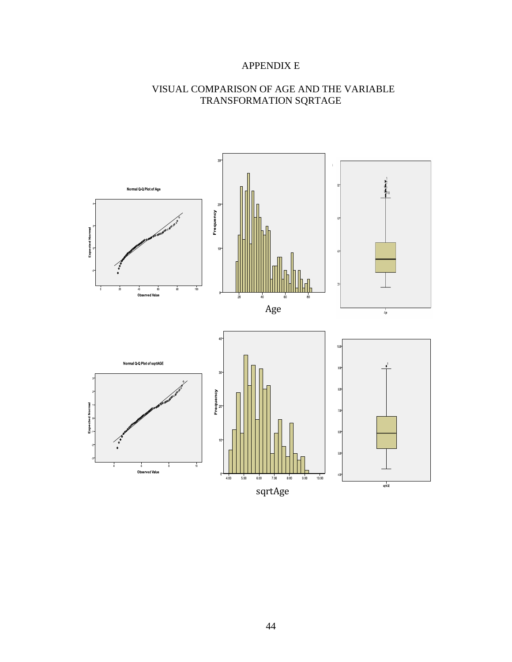# APPENDIX E

# VISUAL COMPARISON OF AGE AND THE VARIABLE TRANSFORMATION SQRTAGE

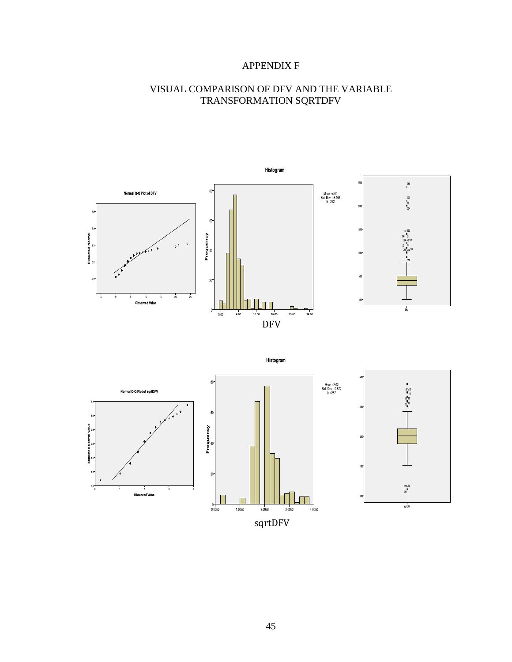# APPENDIX F

# VISUAL COMPARISON OF DFV AND THE VARIABLE TRANSFORMATION SQRTDFV

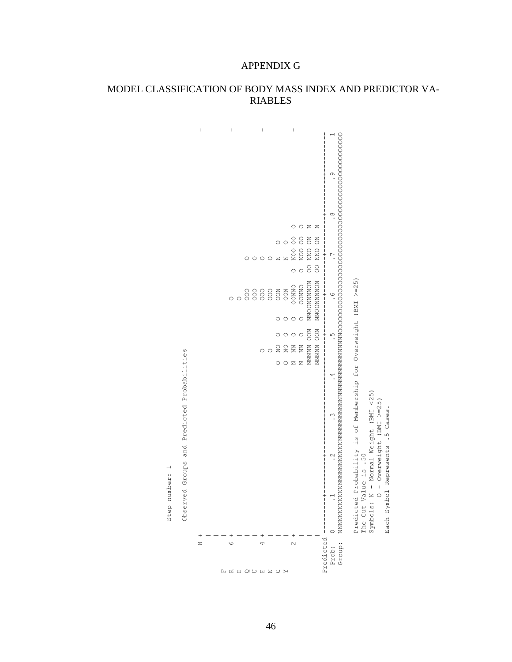

## MODEL CLASSIFICATION OF BODY MASS INDEX AND PREDICTOR VA-RIABLES

APPENDIX G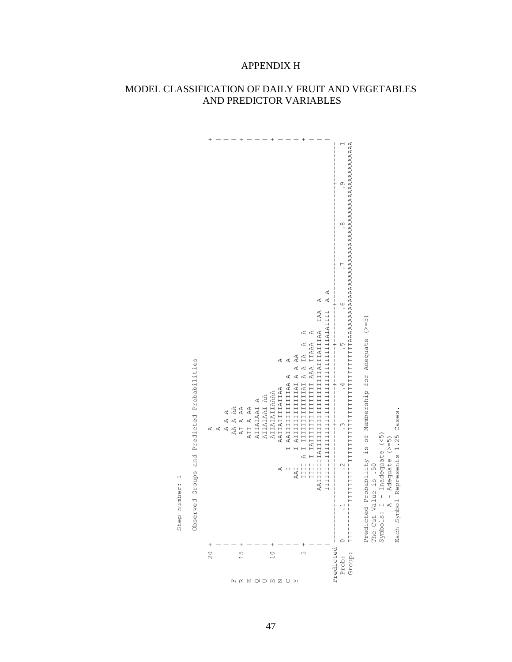

# MODEL CLASSIFICATION OF DAILY FRUIT AND VEGETABLES AND PREDICTOR VARIABLES

APPENDIX H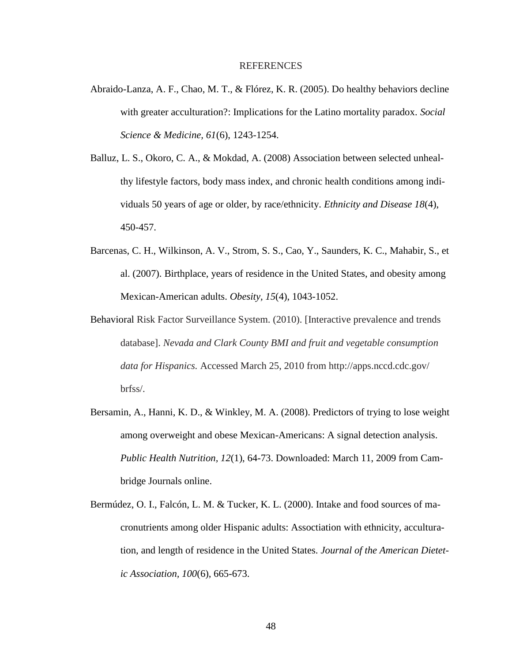#### REFERENCES

- Abraido-Lanza, A. F., Chao, M. T., & Flórez, K. R. (2005). Do healthy behaviors decline with greater acculturation?: Implications for the Latino mortality paradox. *Social Science & Medicine, 61*(6), 1243-1254.
- Balluz, L. S., Okoro, C. A., & Mokdad, A. (2008) Association between selected unhealthy lifestyle factors, body mass index, and chronic health conditions among individuals 50 years of age or older, by race/ethnicity. *Ethnicity and Disease 18*(4), 450-457.
- Barcenas, C. H., Wilkinson, A. V., Strom, S. S., Cao, Y., Saunders, K. C., Mahabir, S., et al. (2007). Birthplace, years of residence in the United States, and obesity among Mexican-American adults. *Obesity, 15*(4), 1043-1052.
- Behavioral Risk Factor Surveillance System. (2010). [Interactive prevalence and trends database]. *Nevada and Clark County BMI and fruit and vegetable consumption data for Hispanics.* Accessed March 25, 2010 from http://apps.nccd.cdc.gov/ brfss/.
- Bersamin, A., Hanni, K. D., & Winkley, M. A. (2008). Predictors of trying to lose weight among overweight and obese Mexican-Americans: A signal detection analysis. *Public Health Nutrition, 12*(1), 64-73. Downloaded: March 11, 2009 from Cambridge Journals online.
- Bermúdez, O. I., Falcón, L. M. & Tucker, K. L. (2000). Intake and food sources of macronutrients among older Hispanic adults: Assoctiation with ethnicity, acculturation, and length of residence in the United States. *Journal of the American Dietetic Association, 100*(6), 665-673.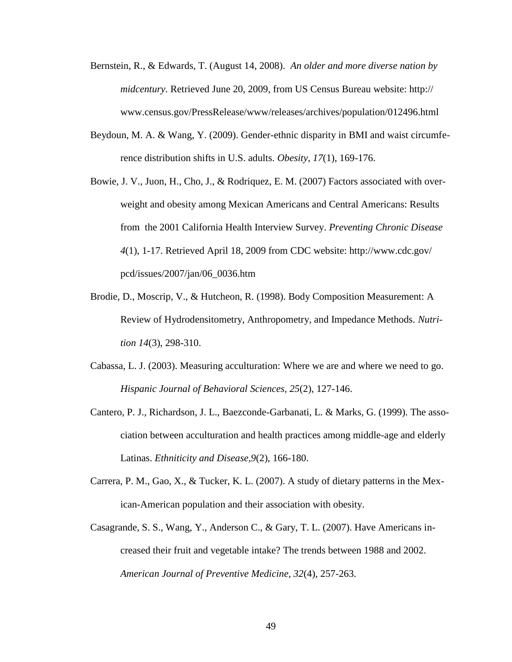- Bernstein, R., & Edwards, T. (August 14, 2008). *An older and more diverse nation by midcentury.* Retrieved June 20, 2009, from US Census Bureau website: http:// www.census.gov/PressRelease/www/releases/archives/population/012496.html
- Beydoun, M. A. & Wang, Y. (2009). Gender-ethnic disparity in BMI and waist circumference distribution shifts in U.S. adults. *Obesity, 17*(1), 169-176.
- Bowie, J. V., Juon, H., Cho, J., & Rodriquez, E. M. (2007) Factors associated with overweight and obesity among Mexican Americans and Central Americans: Results from the 2001 California Health Interview Survey. *Preventing Chronic Disease 4*(1), 1-17. Retrieved April 18, 2009 from CDC website: http://www.cdc.gov/ pcd/issues/2007/jan/06\_0036.htm
- Brodie, D., Moscrip, V., & Hutcheon, R. (1998). Body Composition Measurement: A Review of Hydrodensitometry, Anthropometry, and Impedance Methods. *Nutrition 14*(3), 298-310.
- Cabassa, L. J. (2003). Measuring acculturation: Where we are and where we need to go. *Hispanic Journal of Behavioral Sciences, 25*(2), 127-146.
- Cantero, P. J., Richardson, J. L., Baezconde-Garbanati, L. & Marks, G. (1999). The association between acculturation and health practices among middle-age and elderly Latinas. *Ethniticity and Disease,9*(2), 166-180.
- Carrera, P. M., Gao, X., & Tucker, K. L. (2007). A study of dietary patterns in the Mexican-American population and their association with obesity.
- Casagrande, S. S., Wang, Y., Anderson C., & Gary, T. L. (2007). Have Americans increased their fruit and vegetable intake? The trends between 1988 and 2002. *American Journal of Preventive Medicine, 32*(4), 257-263.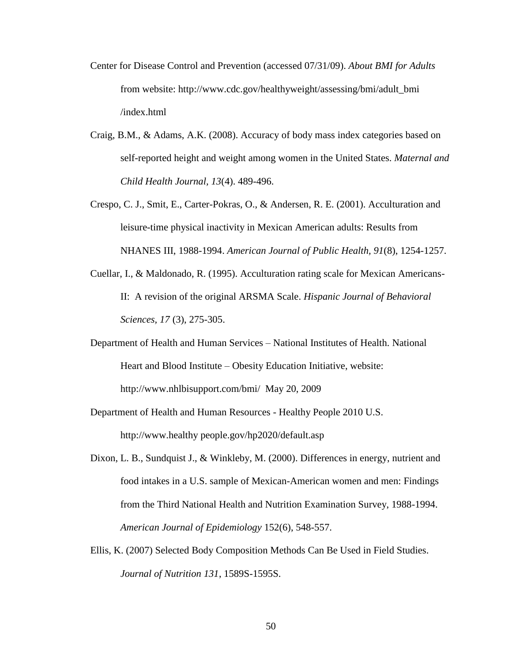- Center for Disease Control and Prevention (accessed 07/31/09). *About BMI for Adults* from website: http://www.cdc.gov/healthyweight/assessing/bmi/adult\_bmi /index.html
- Craig, B.M., & Adams, A.K. (2008). Accuracy of body mass index categories based on self-reported height and weight among women in the United States. *Maternal and Child Health Journal, 13*(4). 489-496.
- Crespo, C. J., Smit, E., Carter-Pokras, O., & Andersen, R. E. (2001). Acculturation and leisure-time physical inactivity in Mexican American adults: Results from NHANES III, 1988-1994. *American Journal of Public Health, 91*(8), 1254-1257.
- Cuellar, I., & Maldonado, R. (1995). Acculturation rating scale for Mexican Americans-II: A revision of the original ARSMA Scale. *Hispanic Journal of Behavioral Sciences, 17* (3), 275-305.
- Department of Health and Human Services National Institutes of Health. National Heart and Blood Institute – Obesity Education Initiative, website: <http://www.nhlbisupport.com/bmi/>May 20, 2009
- Department of Health and Human Resources Healthy People 2010 U.S. http://www.healthy people.gov/hp2020/default.asp
- Dixon, L. B., Sundquist J., & Winkleby, M. (2000). Differences in energy, nutrient and food intakes in a U.S. sample of Mexican-American women and men: Findings from the Third National Health and Nutrition Examination Survey, 1988-1994. *American Journal of Epidemiology* 152(6), 548-557.
- Ellis, K. (2007) Selected Body Composition Methods Can Be Used in Field Studies. *Journal of Nutrition 131*, 1589S-1595S.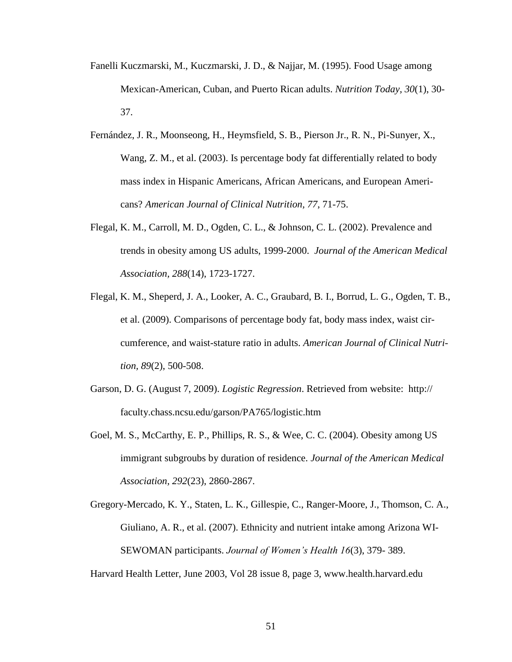- Fanelli Kuczmarski, M., Kuczmarski, J. D., & Najjar, M. (1995). Food Usage among Mexican-American, Cuban, and Puerto Rican adults. *Nutrition Today, 30*(1), 30- 37.
- Fernández, J. R., Moonseong, H., Heymsfield, S. B., Pierson Jr., R. N., Pi-Sunyer, X., Wang, Z. M., et al. (2003). Is percentage body fat differentially related to body mass index in Hispanic Americans, African Americans, and European Americans? *American Journal of Clinical Nutrition, 77*, 71-75.
- Flegal, K. M., Carroll, M. D., Ogden, C. L., & Johnson, C. L. (2002). Prevalence and trends in obesity among US adults, 1999-2000. *Journal of the American Medical Association, 288*(14), 1723-1727.
- Flegal, K. M., Sheperd, J. A., Looker, A. C., Graubard, B. I., Borrud, L. G., Ogden, T. B., et al. (2009). Comparisons of percentage body fat, body mass index, waist circumference, and waist-stature ratio in adults. *American Journal of Clinical Nutrition, 89*(2), 500-508.
- Garson, D. G. (August 7, 2009). *Logistic Regression*. Retrieved from website: http:// faculty.chass.ncsu.edu/garson/PA765/logistic.htm
- Goel, M. S., McCarthy, E. P., Phillips, R. S., & Wee, C. C. (2004). Obesity among US immigrant subgroubs by duration of residence. *Journal of the American Medical Association, 292*(23), 2860-2867.
- Gregory-Mercado, K. Y., Staten, L. K., Gillespie, C., Ranger-Moore, J., Thomson, C. A., Giuliano, A. R., et al. (2007). Ethnicity and nutrient intake among Arizona WI-SEWOMAN participants. *Journal of Women's Health 16*(3), 379- 389.

Harvard Health Letter, June 2003, Vol 28 issue 8, page 3, www.health.harvard.edu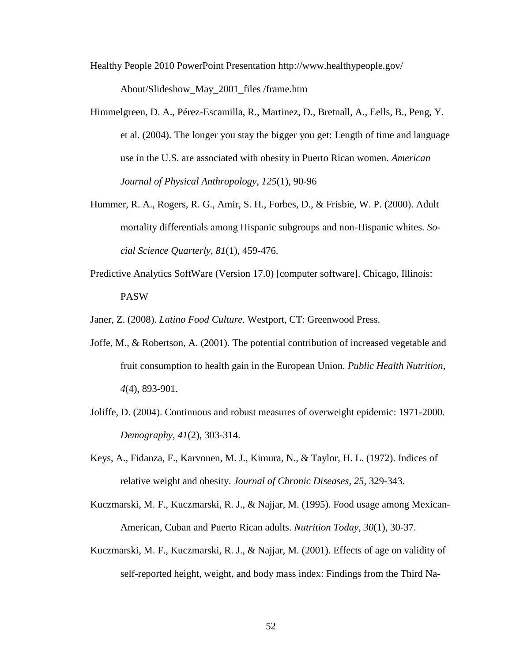Healthy People 2010 PowerPoint Presentation http://www.healthypeople.gov/

About/Slideshow\_May\_2001\_files /frame.htm

- Himmelgreen, D. A., Pérez-Escamilla, R., Martinez, D., Bretnall, A., Eells, B., Peng, Y. et al. (2004). The longer you stay the bigger you get: Length of time and language use in the U.S. are associated with obesity in Puerto Rican women. *American Journal of Physical Anthropology, 125*(1), 90-96
- Hummer, R. A., Rogers, R. G., Amir, S. H., Forbes, D., & Frisbie, W. P. (2000). Adult mortality differentials among Hispanic subgroups and non-Hispanic whites. *Social Science Quarterly, 81*(1), 459-476.
- Predictive Analytics SoftWare (Version 17.0) [computer software]. Chicago, Illinois: PASW

Janer, Z. (2008). *Latino Food Culture*. Westport, CT: Greenwood Press.

- Joffe, M., & Robertson, A. (2001). The potential contribution of increased vegetable and fruit consumption to health gain in the European Union. *Public Health Nutrition, 4*(4), 893-901.
- Joliffe, D. (2004). Continuous and robust measures of overweight epidemic: 1971-2000. *Demography, 41*(2), 303-314.
- Keys, A., Fidanza, F., Karvonen, M. J., Kimura, N., & Taylor, H. L. (1972). Indices of relative weight and obesity. *Journal of Chronic Diseases, 25*, 329-343.
- Kuczmarski, M. F., Kuczmarski, R. J., & Najjar, M. (1995). Food usage among Mexican-American, Cuban and Puerto Rican adults. *Nutrition Today, 30*(1), 30-37.
- Kuczmarski, M. F., Kuczmarski, R. J., & Najjar, M. (2001). Effects of age on validity of self-reported height, weight, and body mass index: Findings from the Third Na-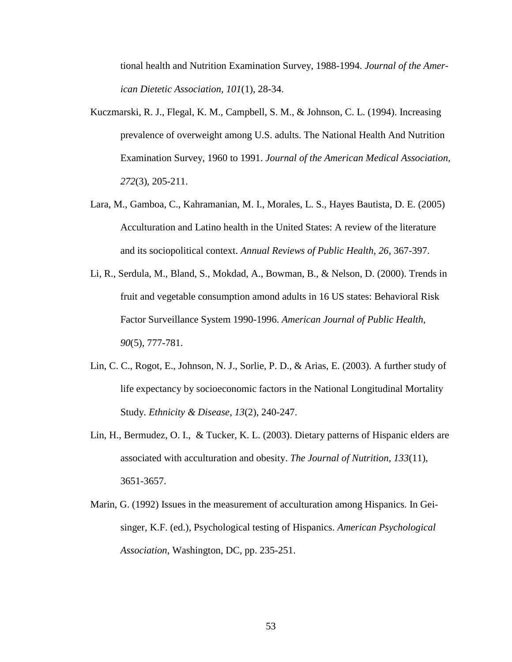tional health and Nutrition Examination Survey, 1988-1994. *Journal of the American Dietetic Association, 101*(1), 28-34.

- Kuczmarski, R. J., Flegal, K. M., Campbell, S. M., & Johnson, C. L. (1994). Increasing prevalence of overweight among U.S. adults. The National Health And Nutrition Examination Survey, 1960 to 1991. *Journal of the American Medical Association, 272*(3), 205-211.
- Lara, M., Gamboa, C., Kahramanian, M. I., Morales, L. S., Hayes Bautista, D. E. (2005) Acculturation and Latino health in the United States: A review of the literature and its sociopolitical context. *Annual Reviews of Public Health, 26*, 367-397.
- Li, R., Serdula, M., Bland, S., Mokdad, A., Bowman, B., & Nelson, D. (2000). Trends in fruit and vegetable consumption amond adults in 16 US states: Behavioral Risk Factor Surveillance System 1990-1996. *American Journal of Public Health, 90*(5), 777-781.
- Lin, C. C., Rogot, E., Johnson, N. J., Sorlie, P. D., & Arias, E. (2003). A further study of life expectancy by socioeconomic factors in the National Longitudinal Mortality Study. *Ethnicity & Disease, 13*(2), 240-247.
- Lin, H., Bermudez, O. I., & Tucker, K. L. (2003). Dietary patterns of Hispanic elders are associated with acculturation and obesity. *The Journal of Nutrition, 133*(11), 3651-3657.
- Marin, G. (1992) Issues in the measurement of acculturation among Hispanics. In Geisinger, K.F. (ed.), Psychological testing of Hispanics. *American Psychological Association,* Washington, DC, pp. 235-251.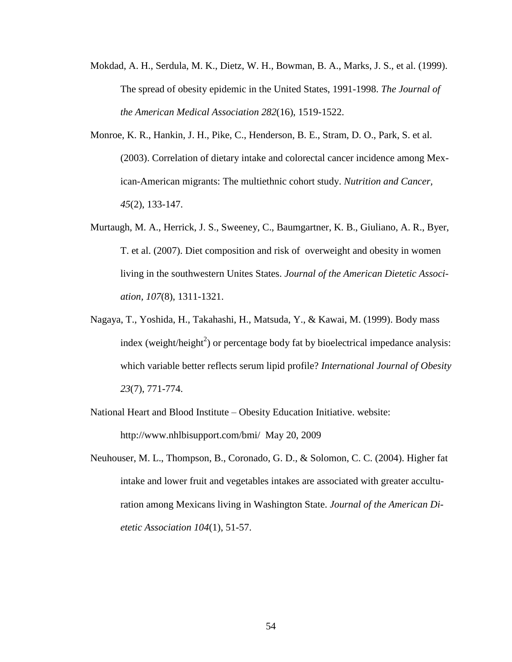- Mokdad, A. H., Serdula, M. K., Dietz, W. H., Bowman, B. A., Marks, J. S., et al. (1999). The spread of obesity epidemic in the United States, 1991-1998. *The Journal of the American Medical Association 282*(16), 1519-1522.
- Monroe, K. R., Hankin, J. H., Pike, C., Henderson, B. E., Stram, D. O., Park, S. et al. (2003). Correlation of dietary intake and colorectal cancer incidence among Mexican-American migrants: The multiethnic cohort study. *Nutrition and Cancer, 45*(2), 133-147.
- Murtaugh, M. A., Herrick, J. S., Sweeney, C., Baumgartner, K. B., Giuliano, A. R., Byer, T. et al. (2007). Diet composition and risk of overweight and obesity in women living in the southwestern Unites States. *Journal of the American Dietetic Association, 107*(8), 1311-1321.
- Nagaya, T., Yoshida, H., Takahashi, H., Matsuda, Y., & Kawai, M. (1999). Body mass index (weight/height<sup>2</sup>) or percentage body fat by bioelectrical impedance analysis: which variable better reflects serum lipid profile? *International Journal of Obesity 23*(7), 771-774.
- National Heart and Blood Institute Obesity Education Initiative. website: <http://www.nhlbisupport.com/bmi/>May 20, 2009
- Neuhouser, M. L., Thompson, B., Coronado, G. D., & Solomon, C. C. (2004). Higher fat intake and lower fruit and vegetables intakes are associated with greater acculturation among Mexicans living in Washington State. *Journal of the American Dietetic Association 104*(1), 51-57.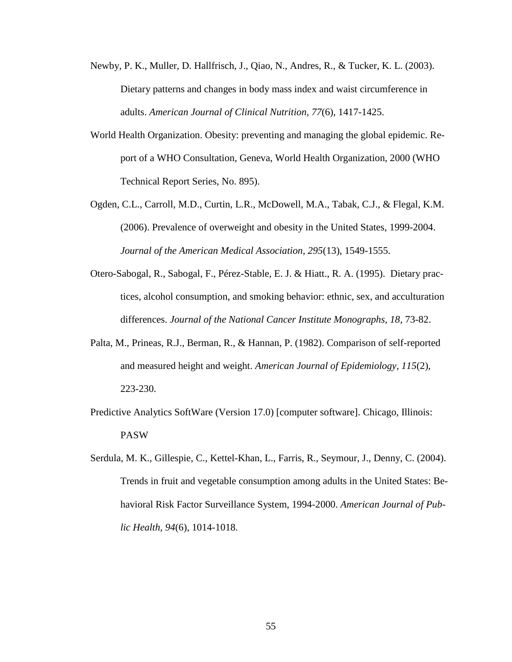- Newby, P. K., Muller, D. Hallfrisch, J., Qiao, N., Andres, R., & Tucker, K. L. (2003). Dietary patterns and changes in body mass index and waist circumference in adults. *American Journal of Clinical Nutrition, 77*(6), 1417-1425.
- World Health Organization. Obesity: preventing and managing the global epidemic. Report of a WHO Consultation, Geneva, World Health Organization, 2000 (WHO Technical Report Series, No. 895).
- Ogden, C.L., Carroll, M.D., Curtin, L.R., McDowell, M.A., Tabak, C.J., & Flegal, K.M. (2006). Prevalence of overweight and obesity in the United States, 1999-2004. *Journal of the American Medical Association, 295*(13), 1549-1555.
- Otero-Sabogal, R., Sabogal, F., Pérez-Stable, E. J. & Hiatt., R. A. (1995). Dietary practices, alcohol consumption, and smoking behavior: ethnic, sex, and acculturation differences. *Journal of the National Cancer Institute Monographs, 18*, 73-82.
- Palta, M., Prineas, R.J., Berman, R., & Hannan, P. (1982). Comparison of self-reported and measured height and weight. *American Journal of Epidemiology, 115*(2), 223-230.
- Predictive Analytics SoftWare (Version 17.0) [computer software]. Chicago, Illinois: PASW
- Serdula, M. K., Gillespie, C., Kettel-Khan, L., Farris, R., Seymour, J., Denny, C. (2004). Trends in fruit and vegetable consumption among adults in the United States: Behavioral Risk Factor Surveillance System, 1994-2000. *American Journal of Public Health, 94*(6), 1014-1018.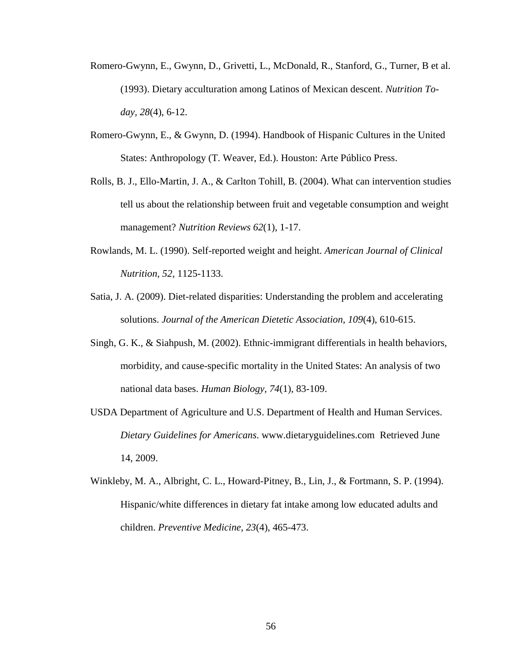- Romero-Gwynn, E., Gwynn, D., Grivetti, L., McDonald, R., Stanford, G., Turner, B et al. (1993). Dietary acculturation among Latinos of Mexican descent. *Nutrition Today, 28*(4), 6-12.
- Romero-Gwynn, E., & Gwynn, D. (1994). Handbook of Hispanic Cultures in the United States: Anthropology (T. Weaver, Ed.). Houston: Arte Público Press.
- Rolls, B. J., Ello-Martin, J. A., & Carlton Tohill, B. (2004). What can intervention studies tell us about the relationship between fruit and vegetable consumption and weight management? *Nutrition Reviews 62*(1), 1-17.
- Rowlands, M. L. (1990). Self-reported weight and height. *American Journal of Clinical Nutrition, 52*, 1125-1133.
- Satia, J. A. (2009). Diet-related disparities: Understanding the problem and accelerating solutions. *Journal of the American Dietetic Association, 109*(4), 610-615.
- Singh, G. K., & Siahpush, M. (2002). Ethnic-immigrant differentials in health behaviors, morbidity, and cause-specific mortality in the United States: An analysis of two national data bases. *Human Biology, 74*(1), 83-109.
- USDA Department of Agriculture and U.S. Department of Health and Human Services. *Dietary Guidelines for Americans*. www.dietaryguidelines.com Retrieved June 14, 2009.
- Winkleby, M. A., Albright, C. L., Howard-Pitney, B., Lin, J., & Fortmann, S. P. (1994). Hispanic/white differences in dietary fat intake among low educated adults and children. *Preventive Medicine, 23*(4), 465-473.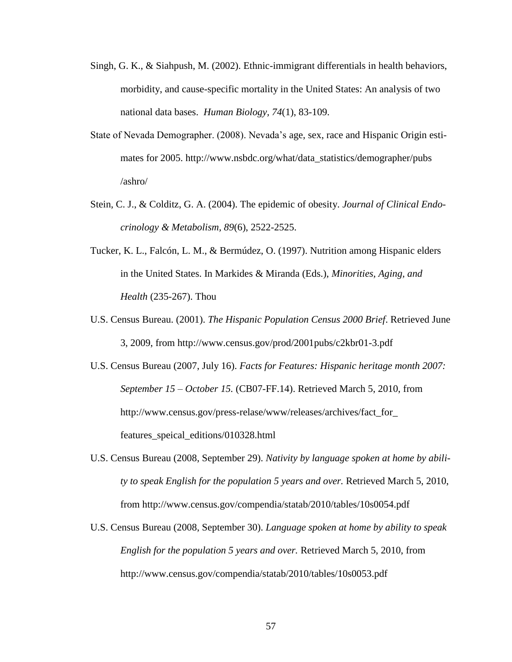- Singh, G. K., & Siahpush, M. (2002). Ethnic-immigrant differentials in health behaviors, morbidity, and cause-specific mortality in the United States: An analysis of two national data bases. *Human Biology, 74*(1), 83-109.
- State of Nevada Demographer. (2008). Nevada"s age, sex, race and Hispanic Origin estimates for 2005. http://www.nsbdc.org/what/data\_statistics/demographer/pubs /ashro/
- Stein, C. J., & Colditz, G. A. (2004). The epidemic of obesity. *Journal of Clinical Endocrinology & Metabolism, 89*(6), 2522-2525.
- Tucker, K. L., Falcón, L. M., & Bermúdez, O. (1997). Nutrition among Hispanic elders in the United States. In Markides & Miranda (Eds.), *Minorities, Aging, and Health* (235-267). Thou
- U.S. Census Bureau. (2001). *The Hispanic Population Census 2000 Brief*. Retrieved June 3, 2009, from http://www.census.gov/prod/2001pubs/c2kbr01-3.pdf
- U.S. Census Bureau (2007, July 16). *Facts for Features: Hispanic heritage month 2007: September 15 – October 15.* (CB07-FF.14). Retrieved March 5, 2010, from http://www.census.gov/press-relase/www/releases/archives/fact\_for\_ features\_speical\_editions/010328.html
- U.S. Census Bureau (2008, September 29). *Nativity by language spoken at home by ability to speak English for the population 5 years and over.* Retrieved March 5, 2010, from http://www.census.gov/compendia/statab/2010/tables/10s0054.pdf
- U.S. Census Bureau (2008, September 30). *Language spoken at home by ability to speak English for the population 5 years and over.* Retrieved March 5, 2010, from http://www.census.gov/compendia/statab/2010/tables/10s0053.pdf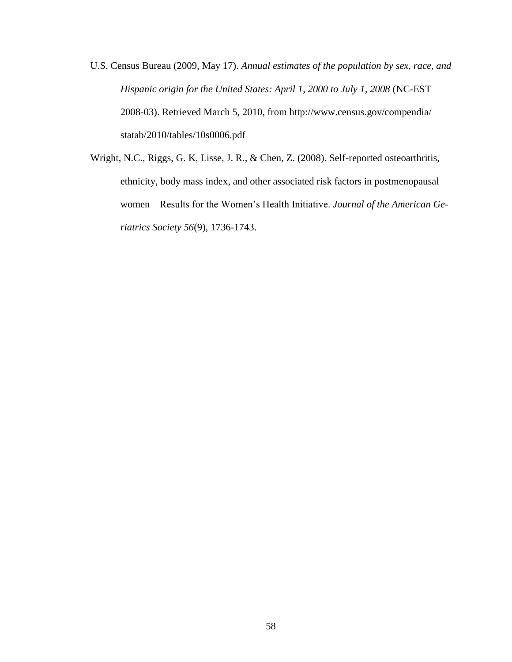- U.S. Census Bureau (2009, May 17). *Annual estimates of the population by sex, race, and Hispanic origin for the United States: April 1, 2000 to July 1, 2008* (NC-EST 2008-03). Retrieved March 5, 2010, from http://www.census.gov/compendia/ statab/2010/tables/10s0006.pdf
- Wright, N.C., Riggs, G. K, Lisse, J. R., & Chen, Z. (2008). Self-reported osteoarthritis, ethnicity, body mass index, and other associated risk factors in postmenopausal women – Results for the Women"s Health Initiative. *Journal of the American Geriatrics Society 56*(9), 1736-1743.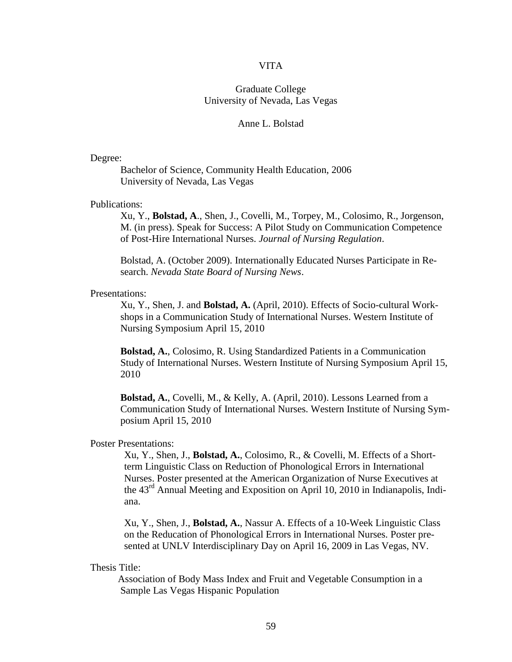#### VITA

## Graduate College University of Nevada, Las Vegas

#### Anne L. Bolstad

#### Degree:

Bachelor of Science, Community Health Education, 2006 University of Nevada, Las Vegas

#### Publications:

Xu, Y., **Bolstad, A**., Shen, J., Covelli, M., Torpey, M., Colosimo, R., Jorgenson, M. (in press). Speak for Success: A Pilot Study on Communication Competence of Post-Hire International Nurses. *Journal of Nursing Regulation*.

Bolstad, A. (October 2009). Internationally Educated Nurses Participate in Research. *Nevada State Board of Nursing News*.

#### Presentations:

Xu, Y., Shen, J. and **Bolstad, A.** (April, 2010). Effects of Socio-cultural Workshops in a Communication Study of International Nurses. Western Institute of Nursing Symposium April 15, 2010

**Bolstad, A.**, Colosimo, R. Using Standardized Patients in a Communication Study of International Nurses. Western Institute of Nursing Symposium April 15, 2010

**Bolstad, A.**, Covelli, M., & Kelly, A. (April, 2010). Lessons Learned from a Communication Study of International Nurses. Western Institute of Nursing Symposium April 15, 2010

#### Poster Presentations:

Xu, Y., Shen, J., **Bolstad, A.**, Colosimo, R., & Covelli, M. Effects of a Shortterm Linguistic Class on Reduction of Phonological Errors in International Nurses. Poster presented at the American Organization of Nurse Executives at the  $43<sup>rd</sup>$  Annual Meeting and Exposition on April 10, 2010 in Indianapolis, Indiana.

Xu, Y., Shen, J., **Bolstad, A.**, Nassur A. Effects of a 10-Week Linguistic Class on the Reducation of Phonological Errors in International Nurses. Poster presented at UNLV Interdisciplinary Day on April 16, 2009 in Las Vegas, NV.

Thesis Title:

 Association of Body Mass Index and Fruit and Vegetable Consumption in a Sample Las Vegas Hispanic Population